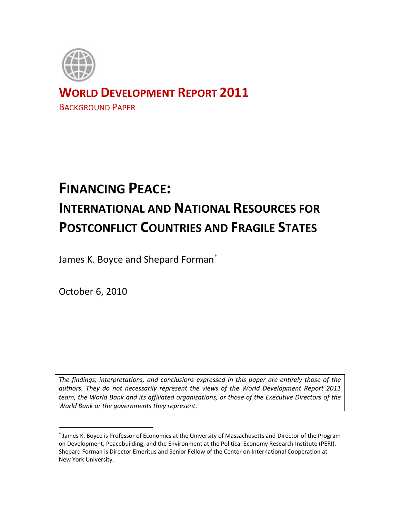

# **WORLD DEVELOPMENT REPORT 2011**

BACKGROUND PAPER

# **FINANCING PEACE: INTERNATIONAL AND NATIONAL RESOURCES FOR POSTCONFLICT COUNTRIES AND FRAGILE STATES**

James K. Boyce and Shepard Forman

October 6, 2010

 $\overline{a}$ 

*The findings, interpretations, and conclusions expressed in this paper are entirely those of the authors. They do not necessarily represent the views of the World Development Report 2011 team, the World Bank and its affiliated organizations, or those of the Executive Directors of the World Bank or the governments they represent.*

James K. Boyce is Professor of Economics at the University of Massachusetts and Director of the Program on Development, Peacebuilding, and the Environment at the Political Economy Research Institute (PERI). Shepard Forman is Director Emeritus and Senior Fellow of the Center on International Cooperation at New York University.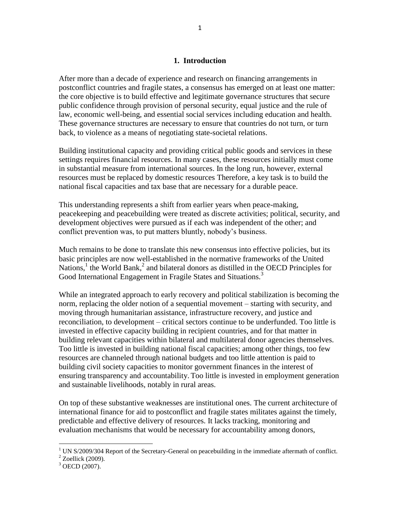#### **1. Introduction**

After more than a decade of experience and research on financing arrangements in postconflict countries and fragile states, a consensus has emerged on at least one matter: the core objective is to build effective and legitimate governance structures that secure public confidence through provision of personal security, equal justice and the rule of law, economic well-being, and essential social services including education and health. These governance structures are necessary to ensure that countries do not turn, or turn back, to violence as a means of negotiating state-societal relations.

Building institutional capacity and providing critical public goods and services in these settings requires financial resources. In many cases, these resources initially must come in substantial measure from international sources. In the long run, however, external resources must be replaced by domestic resources Therefore, a key task is to build the national fiscal capacities and tax base that are necessary for a durable peace.

This understanding represents a shift from earlier years when peace-making, peacekeeping and peacebuilding were treated as discrete activities; political, security, and development objectives were pursued as if each was independent of the other; and conflict prevention was, to put matters bluntly, nobody"s business.

Much remains to be done to translate this new consensus into effective policies, but its basic principles are now well-established in the normative frameworks of the United Nations,<sup>1</sup> the World Bank,<sup>2</sup> and bilateral donors as distilled in the OECD Principles for Good International Engagement in Fragile States and Situations.<sup>3</sup>

While an integrated approach to early recovery and political stabilization is becoming the norm, replacing the older notion of a sequential movement – starting with security, and moving through humanitarian assistance, infrastructure recovery, and justice and reconciliation, to development – critical sectors continue to be underfunded. Too little is invested in effective capacity building in recipient countries, and for that matter in building relevant capacities within bilateral and multilateral donor agencies themselves. Too little is invested in building national fiscal capacities; among other things, too few resources are channeled through national budgets and too little attention is paid to building civil society capacities to monitor government finances in the interest of ensuring transparency and accountability. Too little is invested in employment generation and sustainable livelihoods, notably in rural areas.

On top of these substantive weaknesses are institutional ones. The current architecture of international finance for aid to postconflict and fragile states militates against the timely, predictable and effective delivery of resources. It lacks tracking, monitoring and evaluation mechanisms that would be necessary for accountability among donors,

<sup>&</sup>lt;sup>1</sup> UN S/2009/304 Report of the Secretary-General on peacebuilding in the immediate aftermath of conflict.

 $2$  Zoellick (2009).

 $3$  OECD (2007).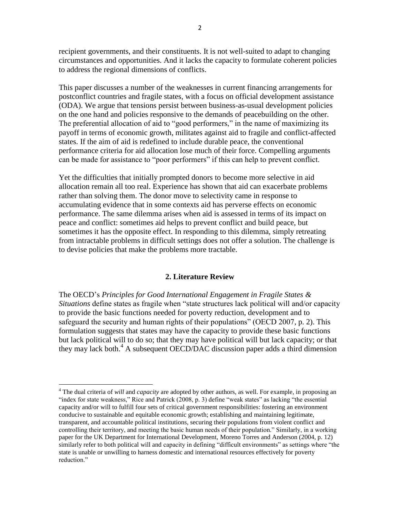recipient governments, and their constituents. It is not well-suited to adapt to changing circumstances and opportunities. And it lacks the capacity to formulate coherent policies to address the regional dimensions of conflicts.

This paper discusses a number of the weaknesses in current financing arrangements for postconflict countries and fragile states, with a focus on official development assistance (ODA). We argue that tensions persist between business-as-usual development policies on the one hand and policies responsive to the demands of peacebuilding on the other. The preferential allocation of aid to "good performers," in the name of maximizing its payoff in terms of economic growth, militates against aid to fragile and conflict-affected states. If the aim of aid is redefined to include durable peace, the conventional performance criteria for aid allocation lose much of their force. Compelling arguments can be made for assistance to "poor performers" if this can help to prevent conflict.

Yet the difficulties that initially prompted donors to become more selective in aid allocation remain all too real. Experience has shown that aid can exacerbate problems rather than solving them. The donor move to selectivity came in response to accumulating evidence that in some contexts aid has perverse effects on economic performance. The same dilemma arises when aid is assessed in terms of its impact on peace and conflict: sometimes aid helps to prevent conflict and build peace, but sometimes it has the opposite effect. In responding to this dilemma, simply retreating from intractable problems in difficult settings does not offer a solution. The challenge is to devise policies that make the problems more tractable.

#### **2. Literature Review**

The OECD"s *Principles for Good International Engagement in Fragile States & Situations* define states as fragile when "state structures lack political will and/or capacity to provide the basic functions needed for poverty reduction, development and to safeguard the security and human rights of their populations" (OECD 2007*,* p. 2). This formulation suggests that states may have the capacity to provide these basic functions but lack political will to do so; that they may have political will but lack capacity; or that they may lack both.<sup>4</sup> A subsequent OECD/DAC discussion paper adds a third dimension

<sup>4</sup> The dual criteria of *will* and *capacity* are adopted by other authors, as well. For example, in proposing an "index for state weakness," Rice and Patrick (2008, p. 3) define "weak states" as lacking "the essential capacity and/or will to fulfill four sets of critical government responsibilities: fostering an environment conducive to sustainable and equitable economic growth; establishing and maintaining legitimate, transparent, and accountable political institutions, securing their populations from violent conflict and controlling their territory, and meeting the basic human needs of their population." Similarly, in a working paper for the UK Department for International Development, Moreno Torres and Anderson (2004, p. 12) similarly refer to both political will and capacity in defining "difficult environments" as settings where "the state is unable or unwilling to harness domestic and international resources effectively for poverty reduction."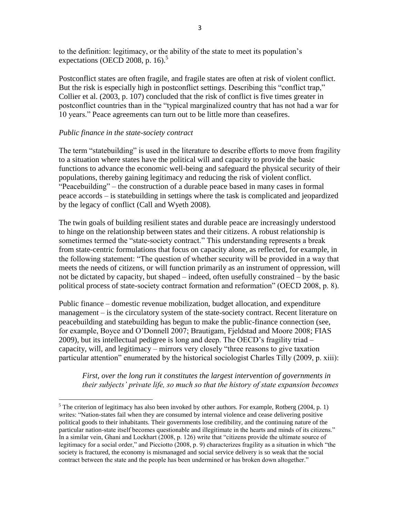to the definition: legitimacy, or the ability of the state to meet its population"s expectations (OECD 2008, p. 16).<sup>5</sup>

Postconflict states are often fragile, and fragile states are often at risk of violent conflict. But the risk is especially high in postconflict settings. Describing this "conflict trap," Collier et al. (2003, p. 107) concluded that the risk of conflict is five times greater in postconflict countries than in the "typical marginalized country that has not had a war for 10 years." Peace agreements can turn out to be little more than ceasefires.

# *Public finance in the state-society contract*

 $\overline{a}$ 

The term "statebuilding" is used in the literature to describe efforts to move from fragility to a situation where states have the political will and capacity to provide the basic functions to advance the economic well-being and safeguard the physical security of their populations, thereby gaining legitimacy and reducing the risk of violent conflict. "Peacebuilding" – the construction of a durable peace based in many cases in formal peace accords – is statebuilding in settings where the task is complicated and jeopardized by the legacy of conflict (Call and Wyeth 2008).

The twin goals of building resilient states and durable peace are increasingly understood to hinge on the relationship between states and their citizens. A robust relationship is sometimes termed the "state-society contract." This understanding represents a break from state-centric formulations that focus on capacity alone, as reflected, for example, in the following statement: "The question of whether security will be provided in a way that meets the needs of citizens, or will function primarily as an instrument of oppression, will not be dictated by capacity, but shaped – indeed, often usefully constrained – by the basic political process of state-society contract formation and reformation" (OECD 2008, p. 8).

Public finance – domestic revenue mobilization, budget allocation, and expenditure management – is the circulatory system of the state-society contract. Recent literature on peacebuilding and statebuilding has begun to make the public-finance connection (see, for example, Boyce and O"Donnell 2007; Brautigam, Fjeldstad and Moore 2008; FIAS 2009), but its intellectual pedigree is long and deep. The OECD"s fragility triad – capacity, will, and legitimacy – mirrors very closely "three reasons to give taxation particular attention" enumerated by the historical sociologist Charles Tilly (2009, p. xiii):

*First, over the long run it constitutes the largest intervention of governments in their subjects' private life, so much so that the history of state expansion becomes* 

 $<sup>5</sup>$  The criterion of legitimacy has also been invoked by other authors. For example, Rotberg (2004, p. 1)</sup> writes: "Nation-states fail when they are consumed by internal violence and cease delivering positive political goods to their inhabitants. Their governments lose credibility, and the continuing nature of the particular nation-state itself becomes questionable and illegitimate in the hearts and minds of its citizens." In a similar vein, Ghani and Lockhart (2008, p. 126) write that "citizens provide the ultimate source of legitimacy for a social order," and Picciotto (2008, p. 9) characterizes fragility as a situation in which "the society is fractured, the economy is mismanaged and social service delivery is so weak that the social contract between the state and the people has been undermined or has broken down altogether."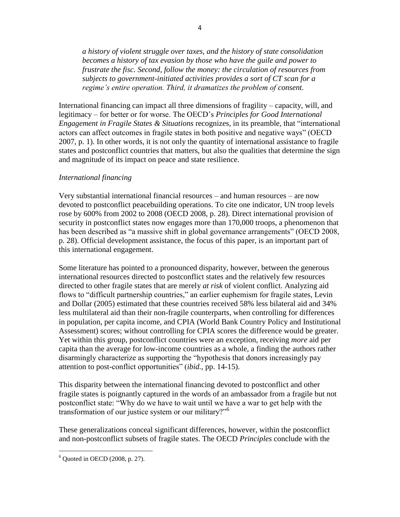*a history of violent struggle over taxes, and the history of state consolidation becomes a history of tax evasion by those who have the guile and power to frustrate the fisc. Second, follow the money: the circulation of resources from subjects to government-initiated activities provides a sort of CT scan for a regime's entire operation. Third, it dramatizes the problem of consent.*

International financing can impact all three dimensions of fragility – capacity, will, and legitimacy – for better or for worse. The OECD"s *Principles for Good International Engagement in Fragile States & Situations* recognizes, in its preamble, that "international actors can affect outcomes in fragile states in both positive and negative ways" (OECD 2007, p. 1). In other words, it is not only the quantity of international assistance to fragile states and postconflict countries that matters, but also the qualities that determine the sign and magnitude of its impact on peace and state resilience.

#### *International financing*

Very substantial international financial resources – and human resources – are now devoted to postconflict peacebuilding operations. To cite one indicator, UN troop levels rose by 600% from 2002 to 2008 (OECD 2008, p. 28). Direct international provision of security in postconflict states now engages more than 170,000 troops, a phenomenon that has been described as "a massive shift in global governance arrangements" (OECD 2008, p. 28). Official development assistance, the focus of this paper, is an important part of this international engagement.

Some literature has pointed to a pronounced disparity, however, between the generous international resources directed to postconflict states and the relatively few resources directed to other fragile states that are merely *at risk* of violent conflict. Analyzing aid flows to "difficult partnership countries," an earlier euphemism for fragile states, Levin and Dollar (2005) estimated that these countries received 58% less bilateral aid and 34% less multilateral aid than their non-fragile counterparts, when controlling for differences in population, per capita income, and CPIA (World Bank Country Policy and Institutional Assessment) scores; without controlling for CPIA scores the difference would be greater. Yet within this group, postconflict countries were an exception, receiving *more* aid per capita than the average for low-income countries as a whole, a finding the authors rather disarmingly characterize as supporting the "hypothesis that donors increasingly pay attention to post-conflict opportunities" (*ibid.,* pp. 14-15).

This disparity between the international financing devoted to postconflict and other fragile states is poignantly captured in the words of an ambassador from a fragile but not postconflict state: "Why do we have to wait until we have a war to get help with the transformation of our justice system or our military?"<sup>6</sup>

These generalizations conceal significant differences, however, within the postconflict and non-postconflict subsets of fragile states. The OECD *Principles* conclude with the

 $6$  Quoted in OECD (2008, p. 27).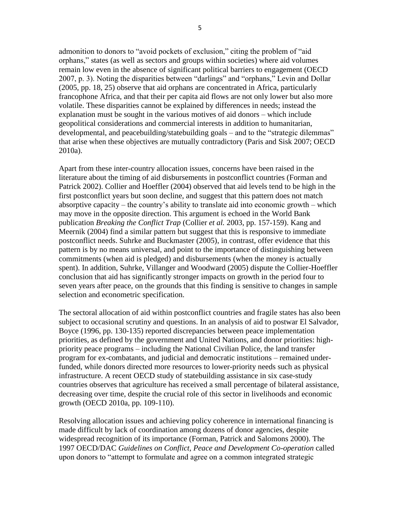admonition to donors to "avoid pockets of exclusion," citing the problem of "aid orphans," states (as well as sectors and groups within societies) where aid volumes remain low even in the absence of significant political barriers to engagement (OECD 2007, p. 3). Noting the disparities between "darlings" and "orphans," Levin and Dollar (2005, pp. 18, 25) observe that aid orphans are concentrated in Africa, particularly francophone Africa, and that their per capita aid flows are not only lower but also more volatile. These disparities cannot be explained by differences in needs; instead the explanation must be sought in the various motives of aid donors – which include geopolitical considerations and commercial interests in addition to humanitarian, developmental, and peacebuilding/statebuilding goals – and to the "strategic dilemmas" that arise when these objectives are mutually contradictory (Paris and Sisk 2007; OECD 2010a).

Apart from these inter-country allocation issues, concerns have been raised in the literature about the timing of aid disbursements in postconflict countries (Forman and Patrick 2002). Collier and Hoeffler (2004) observed that aid levels tend to be high in the first postconflict years but soon decline, and suggest that this pattern does not match absorptive capacity – the country's ability to translate aid into economic growth – which may move in the opposite direction. This argument is echoed in the World Bank publication *Breaking the Conflict Trap* (Collier *et al.* 2003, pp. 157-159). Kang and Meernik (2004) find a similar pattern but suggest that this is responsive to immediate postconflict needs. Suhrke and Buckmaster (2005), in contrast, offer evidence that this pattern is by no means universal, and point to the importance of distinguishing between commitments (when aid is pledged) and disbursements (when the money is actually spent). In addition, Suhrke, Villanger and Woodward (2005) dispute the Collier-Hoeffler conclusion that aid has significantly stronger impacts on growth in the period four to seven years after peace, on the grounds that this finding is sensitive to changes in sample selection and econometric specification.

The sectoral allocation of aid within postconflict countries and fragile states has also been subject to occasional scrutiny and questions. In an analysis of aid to postwar El Salvador, Boyce (1996, pp. 130-135) reported discrepancies between peace implementation priorities, as defined by the government and United Nations, and donor priorities: highpriority peace programs – including the National Civilian Police, the land transfer program for ex-combatants, and judicial and democratic institutions – remained underfunded, while donors directed more resources to lower-priority needs such as physical infrastructure. A recent OECD study of statebuilding assistance in six case-study countries observes that agriculture has received a small percentage of bilateral assistance, decreasing over time, despite the crucial role of this sector in livelihoods and economic growth (OECD 2010a, pp. 109-110).

Resolving allocation issues and achieving policy coherence in international financing is made difficult by lack of coordination among dozens of donor agencies, despite widespread recognition of its importance (Forman, Patrick and Salomons 2000). The 1997 OECD/DAC *Guidelines on Conflict, Peace and Development Co-operation* called upon donors to "attempt to formulate and agree on a common integrated strategic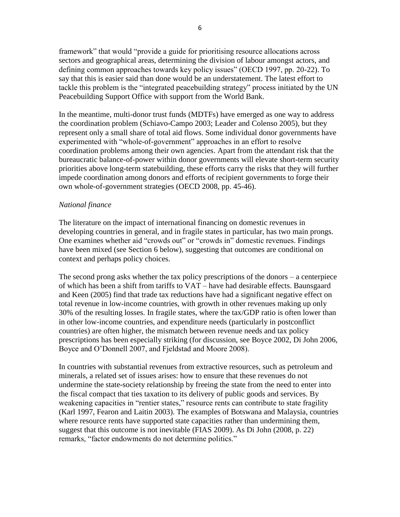framework" that would "provide a guide for prioritising resource allocations across sectors and geographical areas, determining the division of labour amongst actors, and defining common approaches towards key policy issues" (OECD 1997, pp. 20-22). To say that this is easier said than done would be an understatement. The latest effort to tackle this problem is the "integrated peacebuilding strategy" process initiated by the UN Peacebuilding Support Office with support from the World Bank.

In the meantime, multi-donor trust funds (MDTFs) have emerged as one way to address the coordination problem (Schiavo-Campo 2003; Leader and Colenso 2005), but they represent only a small share of total aid flows. Some individual donor governments have experimented with "whole-of-government" approaches in an effort to resolve coordination problems among their own agencies. Apart from the attendant risk that the bureaucratic balance-of-power within donor governments will elevate short-term security priorities above long-term statebuilding, these efforts carry the risks that they will further impede coordination among donors and efforts of recipient governments to forge their own whole-of-government strategies (OECD 2008, pp. 45-46).

# *National finance*

The literature on the impact of international financing on domestic revenues in developing countries in general, and in fragile states in particular, has two main prongs. One examines whether aid "crowds out" or "crowds in" domestic revenues. Findings have been mixed (see Section 6 below), suggesting that outcomes are conditional on context and perhaps policy choices.

The second prong asks whether the tax policy prescriptions of the donors – a centerpiece of which has been a shift from tariffs to VAT – have had desirable effects. Baunsgaard and Keen (2005) find that trade tax reductions have had a significant negative effect on total revenue in low-income countries, with growth in other revenues making up only 30% of the resulting losses. In fragile states, where the tax/GDP ratio is often lower than in other low-income countries, and expenditure needs (particularly in postconflict countries) are often higher, the mismatch between revenue needs and tax policy prescriptions has been especially striking (for discussion, see Boyce 2002, Di John 2006, Boyce and O"Donnell 2007, and Fjeldstad and Moore 2008).

In countries with substantial revenues from extractive resources, such as petroleum and minerals, a related set of issues arises: how to ensure that these revenues do not undermine the state-society relationship by freeing the state from the need to enter into the fiscal compact that ties taxation to its delivery of public goods and services. By weakening capacities in "rentier states," resource rents can contribute to state fragility (Karl 1997, Fearon and Laitin 2003). The examples of Botswana and Malaysia, countries where resource rents have supported state capacities rather than undermining them, suggest that this outcome is not inevitable (FIAS 2009). As Di John (2008, p. 22) remarks, "factor endowments do not determine politics."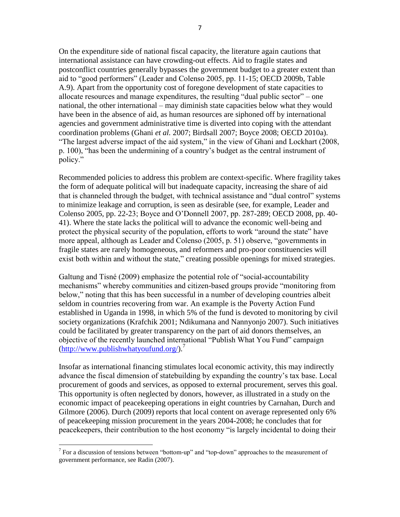On the expenditure side of national fiscal capacity, the literature again cautions that international assistance can have crowding-out effects. Aid to fragile states and postconflict countries generally bypasses the government budget to a greater extent than aid to "good performers" (Leader and Colenso 2005, pp. 11-15; OECD 2009b, Table A.9). Apart from the opportunity cost of foregone development of state capacities to allocate resources and manage expenditures, the resulting "dual public sector" – one national, the other international – may diminish state capacities below what they would have been in the absence of aid, as human resources are siphoned off by international agencies and government administrative time is diverted into coping with the attendant coordination problems (Ghani *et al.* 2007; Birdsall 2007; Boyce 2008; OECD 2010a). "The largest adverse impact of the aid system," in the view of Ghani and Lockhart (2008, p. 100), "has been the undermining of a country"s budget as the central instrument of policy."

Recommended policies to address this problem are context-specific. Where fragility takes the form of adequate political will but inadequate capacity, increasing the share of aid that is channeled through the budget, with technical assistance and "dual control" systems to minimize leakage and corruption, is seen as desirable (see, for example, Leader and Colenso 2005, pp. 22-23; Boyce and O"Donnell 2007, pp. 287-289; OECD 2008, pp. 40- 41). Where the state lacks the political will to advance the economic well-being and protect the physical security of the population, efforts to work "around the state" have more appeal, although as Leader and Colenso (2005, p. 51) observe, "governments in fragile states are rarely homogeneous, and reformers and pro-poor constituencies will exist both within and without the state," creating possible openings for mixed strategies.

Galtung and Tisné (2009) emphasize the potential role of "social-accountability mechanisms" whereby communities and citizen-based groups provide "monitoring from below," noting that this has been successful in a number of developing countries albeit seldom in countries recovering from war. An example is the Poverty Action Fund established in Uganda in 1998, in which 5% of the fund is devoted to monitoring by civil society organizations (Krafchik 2001; Ndikumana and Nannyonjo 2007). Such initiatives could be facilitated by greater transparency on the part of aid donors themselves, an objective of the recently launched international "Publish What You Fund" campaign  $(\text{http://www.publishwhat youfund.org/})^7$ 

Insofar as international financing stimulates local economic activity, this may indirectly advance the fiscal dimension of statebuilding by expanding the country"s tax base. Local procurement of goods and services, as opposed to external procurement, serves this goal. This opportunity is often neglected by donors, however, as illustrated in a study on the economic impact of peacekeeping operations in eight countries by Carnahan, Durch and Gilmore (2006). Durch (2009) reports that local content on average represented only 6% of peacekeeping mission procurement in the years 2004-2008; he concludes that for peacekeepers, their contribution to the host economy "is largely incidental to doing their

 $<sup>7</sup>$  For a discussion of tensions between "bottom-up" and "top-down" approaches to the measurement of</sup> government performance, see Radin (2007).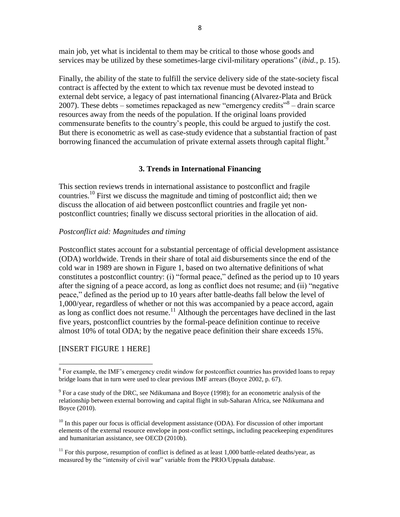main job, yet what is incidental to them may be critical to those whose goods and services may be utilized by these sometimes-large civil-military operations" (*ibid.*, p. 15).

Finally, the ability of the state to fulfill the service delivery side of the state-society fiscal contract is affected by the extent to which tax revenue must be devoted instead to external debt service, a legacy of past international financing (Alvarez-Plata and Brück 2007). These debts – sometimes repackaged as new "emergency credits"<sup>8</sup> – drain scarce resources away from the needs of the population. If the original loans provided commensurate benefits to the country"s people, this could be argued to justify the cost. But there is econometric as well as case-study evidence that a substantial fraction of past borrowing financed the accumulation of private external assets through capital flight.<sup>9</sup>

# **3. Trends in International Financing**

This section reviews trends in international assistance to postconflict and fragile countries.<sup>10</sup> First we discuss the magnitude and timing of postconflict aid; then we discuss the allocation of aid between postconflict countries and fragile yet nonpostconflict countries; finally we discuss sectoral priorities in the allocation of aid.

#### *Postconflict aid: Magnitudes and timing*

Postconflict states account for a substantial percentage of official development assistance (ODA) worldwide. Trends in their share of total aid disbursements since the end of the cold war in 1989 are shown in Figure 1, based on two alternative definitions of what constitutes a postconflict country: (i) "formal peace," defined as the period up to 10 years after the signing of a peace accord, as long as conflict does not resume; and (ii) "negative peace," defined as the period up to 10 years after battle-deaths fall below the level of 1,000/year, regardless of whether or not this was accompanied by a peace accord, again as long as conflict does not resume.<sup>11</sup> Although the percentages have declined in the last five years, postconflict countries by the formal-peace definition continue to receive almost 10% of total ODA; by the negative peace definition their share exceeds 15%.

#### [INSERT FIGURE 1 HERE]

<sup>&</sup>lt;sup>8</sup> For example, the IMF's emergency credit window for postconflict countries has provided loans to repay bridge loans that in turn were used to clear previous IMF arrears (Boyce 2002, p. 67).

 $9^9$  For a case study of the DRC, see Ndikumana and Boyce (1998); for an econometric analysis of the relationship between external borrowing and capital flight in sub-Saharan Africa, see Ndikumana and Boyce (2010).

 $10$  In this paper our focus is official development assistance (ODA). For discussion of other important elements of the external resource envelope in post-conflict settings, including peacekeeping expenditures and humanitarian assistance, see OECD (2010b).

 $11$  For this purpose, resumption of conflict is defined as at least 1,000 battle-related deaths/year, as measured by the "intensity of civil war" variable from the PRIO/Uppsala database.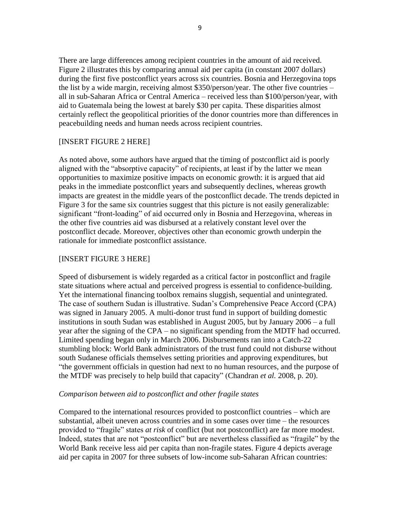There are large differences among recipient countries in the amount of aid received. Figure 2 illustrates this by comparing annual aid per capita (in constant 2007 dollars) during the first five postconflict years across six countries. Bosnia and Herzegovina tops the list by a wide margin, receiving almost \$350/person/year. The other five countries – all in sub-Saharan Africa or Central America – received less than \$100/person/year, with aid to Guatemala being the lowest at barely \$30 per capita. These disparities almost certainly reflect the geopolitical priorities of the donor countries more than differences in peacebuilding needs and human needs across recipient countries.

#### [INSERT FIGURE 2 HERE]

As noted above, some authors have argued that the timing of postconflict aid is poorly aligned with the "absorptive capacity" of recipients, at least if by the latter we mean opportunities to maximize positive impacts on economic growth: it is argued that aid peaks in the immediate postconflict years and subsequently declines, whereas growth impacts are greatest in the middle years of the postconflict decade. The trends depicted in Figure 3 for the same six countries suggest that this picture is not easily generalizable: significant "front-loading" of aid occurred only in Bosnia and Herzegovina, whereas in the other five countries aid was disbursed at a relatively constant level over the postconflict decade. Moreover, objectives other than economic growth underpin the rationale for immediate postconflict assistance.

# [INSERT FIGURE 3 HERE]

Speed of disbursement is widely regarded as a critical factor in postconflict and fragile state situations where actual and perceived progress is essential to confidence-building. Yet the international financing toolbox remains sluggish, sequential and unintegrated. The case of southern Sudan is illustrative. Sudan"s Comprehensive Peace Accord (CPA) was signed in January 2005. A multi-donor trust fund in support of building domestic institutions in south Sudan was established in August 2005, but by January 2006 – a full year after the signing of the CPA – no significant spending from the MDTF had occurred. Limited spending began only in March 2006. Disbursements ran into a Catch-22 stumbling block: World Bank administrators of the trust fund could not disburse without south Sudanese officials themselves setting priorities and approving expenditures, but "the government officials in question had next to no human resources, and the purpose of the MTDF was precisely to help build that capacity" (Chandran *et al.* 2008, p. 20).

#### *Comparison between aid to postconflict and other fragile states*

Compared to the international resources provided to postconflict countries – which are substantial, albeit uneven across countries and in some cases over time – the resources provided to "fragile" states *at risk* of conflict (but not postconflict) are far more modest. Indeed, states that are not "postconflict" but are nevertheless classified as "fragile" by the World Bank receive less aid per capita than non-fragile states. Figure 4 depicts average aid per capita in 2007 for three subsets of low-income sub-Saharan African countries: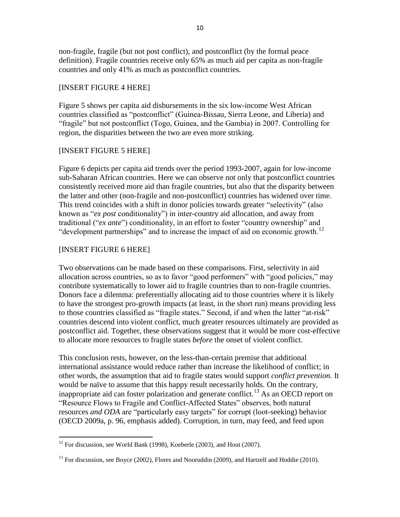non-fragile, fragile (but not post conflict), and postconflict (by the formal peace definition). Fragile countries receive only 65% as much aid per capita as non-fragile countries and only 41% as much as postconflict countries.

# [INSERT FIGURE 4 HERE]

Figure 5 shows per capita aid disbursements in the six low-income West African countries classified as "postconflict" (Guinea-Bissau, Sierra Leone, and Liberia) and "fragile" but not postconflict (Togo, Guinea, and the Gambia) in 2007. Controlling for region, the disparities between the two are even more striking.

# [INSERT FIGURE 5 HERE]

Figure 6 depicts per capita aid trends over the period 1993-2007, again for low-income sub-Saharan African countries. Here we can observe not only that postconflict countries consistently received more aid than fragile countries, but also that the disparity between the latter and other (non-fragile and non-postconflict) countries has widened over time. This trend coincides with a shift in donor policies towards greater "selectivity" (also known as "*ex post* conditionality") in inter-country aid allocation, and away from traditional ("*ex ante*") conditionality, in an effort to foster "country ownership" and "development partnerships" and to increase the impact of aid on economic growth.<sup>12</sup>

# [INSERT FIGURE 6 HERE]

 $\overline{a}$ 

Two observations can be made based on these comparisons. First, selectivity in aid allocation across countries, so as to favor "good performers" with "good policies," may contribute systematically to lower aid to fragile countries than to non-fragile countries. Donors face a dilemma: preferentially allocating aid to those countries where it is likely to have the strongest pro-growth impacts (at least, in the short run) means providing less to those countries classified as "fragile states." Second, if and when the latter "at-risk" countries descend into violent conflict, much greater resources ultimately are provided as postconflict aid. Together, these observations suggest that it would be more cost-effective to allocate more resources to fragile states *before* the onset of violent conflict.

This conclusion rests, however, on the less-than-certain premise that additional international assistance would reduce rather than increase the likelihood of conflict; in other words, the assumption that aid to fragile states would support *conflict prevention.* It would be naïve to assume that this happy result necessarily holds. On the contrary, inappropriate aid can foster polarization and generate conflict.<sup>13</sup> As an OECD report on "Resource Flows to Fragile and Conflict-Affected States" observes, both natural resources *and ODA* are "particularly easy targets" for corrupt (loot-seeking) behavior (OECD 2009a, p. 96, emphasis added). Corruption, in turn, may feed, and feed upon

 $12$  For discussion, see World Bank (1998), Koeberle (2003), and Hout (2007).

 $^{13}$  For discussion, see Boyce (2002), Flores and Nooruddin (2009), and Hartzell and Hoddie (2010).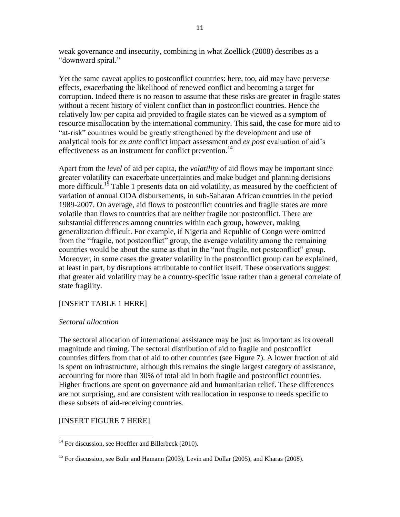weak governance and insecurity, combining in what Zoellick (2008) describes as a "downward spiral."

Yet the same caveat applies to postconflict countries: here, too, aid may have perverse effects, exacerbating the likelihood of renewed conflict and becoming a target for corruption. Indeed there is no reason to assume that these risks are greater in fragile states without a recent history of violent conflict than in postconflict countries. Hence the relatively low per capita aid provided to fragile states can be viewed as a symptom of resource misallocation by the international community. This said, the case for more aid to "at-risk" countries would be greatly strengthened by the development and use of analytical tools for *ex ante* conflict impact assessment and *ex post* evaluation of aid"s effectiveness as an instrument for conflict prevention.<sup>14</sup>

Apart from the *level* of aid per capita, the *volatility* of aid flows may be important since greater volatility can exacerbate uncertainties and make budget and planning decisions more difficult.<sup>15</sup> Table 1 presents data on aid volatility, as measured by the coefficient of variation of annual ODA disbursements, in sub-Saharan African countries in the period 1989-2007. On average, aid flows to postconflict countries and fragile states are more volatile than flows to countries that are neither fragile nor postconflict. There are substantial differences among countries within each group, however, making generalization difficult. For example, if Nigeria and Republic of Congo were omitted from the "fragile, not postconflict" group, the average volatility among the remaining countries would be about the same as that in the "not fragile, not postconflict" group. Moreover, in some cases the greater volatility in the postconflict group can be explained, at least in part, by disruptions attributable to conflict itself. These observations suggest that greater aid volatility may be a country-specific issue rather than a general correlate of state fragility.

# [INSERT TABLE 1 HERE]

# *Sectoral allocation*

The sectoral allocation of international assistance may be just as important as its overall magnitude and timing. The sectoral distribution of aid to fragile and postconflict countries differs from that of aid to other countries (see Figure 7). A lower fraction of aid is spent on infrastructure, although this remains the single largest category of assistance, accounting for more than 30% of total aid in both fragile and postconflict countries. Higher fractions are spent on governance aid and humanitarian relief. These differences are not surprising, and are consistent with reallocation in response to needs specific to these subsets of aid-receiving countries.

# [INSERT FIGURE 7 HERE]

 $\overline{a}$  $14$  For discussion, see Hoeffler and Billerbeck (2010).

<sup>&</sup>lt;sup>15</sup> For discussion, see Bulir and Hamann (2003), Levin and Dollar (2005), and Kharas (2008).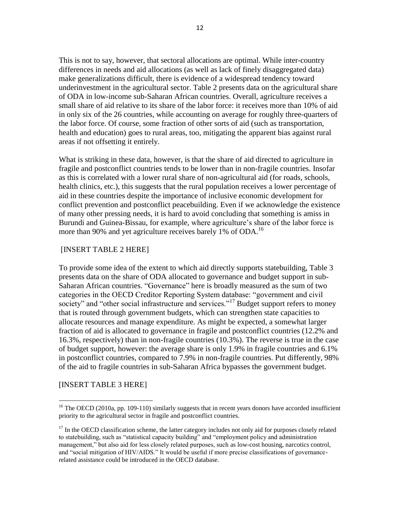This is not to say, however, that sectoral allocations are optimal. While inter-country differences in needs and aid allocations (as well as lack of finely disaggregated data) make generalizations difficult, there is evidence of a widespread tendency toward underinvestment in the agricultural sector. Table 2 presents data on the agricultural share of ODA in low-income sub-Saharan African countries. Overall, agriculture receives a small share of aid relative to its share of the labor force: it receives more than 10% of aid in only six of the 26 countries, while accounting on average for roughly three-quarters of the labor force. Of course, some fraction of other sorts of aid (such as transportation, health and education) goes to rural areas, too, mitigating the apparent bias against rural areas if not offsetting it entirely.

What is striking in these data, however, is that the share of aid directed to agriculture in fragile and postconflict countries tends to be lower than in non-fragile countries. Insofar as this is correlated with a lower rural share of non-agricultural aid (for roads, schools, health clinics, etc.), this suggests that the rural population receives a lower percentage of aid in these countries despite the importance of inclusive economic development for conflict prevention and postconflict peacebuilding. Even if we acknowledge the existence of many other pressing needs, it is hard to avoid concluding that something is amiss in Burundi and Guinea-Bissau, for example, where agriculture's share of the labor force is more than 90% and yet agriculture receives barely 1% of ODA.<sup>16</sup>

# [INSERT TABLE 2 HERE]

To provide some idea of the extent to which aid directly supports statebuilding, Table 3 presents data on the share of ODA allocated to governance and budget support in sub-Saharan African countries. "Governance" here is broadly measured as the sum of two categories in the OECD Creditor Reporting System database: "government and civil society" and "other social infrastructure and services."<sup>17</sup> Budget support refers to money that is routed through government budgets, which can strengthen state capacities to allocate resources and manage expenditure. As might be expected, a somewhat larger fraction of aid is allocated to governance in fragile and postconflict countries (12.2% and 16.3%, respectively) than in non-fragile countries (10.3%). The reverse is true in the case of budget support, however: the average share is only 1.9% in fragile countries and 6.1% in postconflict countries, compared to 7.9% in non-fragile countries. Put differently, 98% of the aid to fragile countries in sub-Saharan Africa bypasses the government budget.

# [INSERT TABLE 3 HERE]

 $16$  The OECD (2010a, pp. 109-110) similarly suggests that in recent years donors have accorded insufficient priority to the agricultural sector in fragile and postconflict countries.

 $17$  In the OECD classification scheme, the latter category includes not only aid for purposes closely related to statebuilding, such as "statistical capacity building" and "employment policy and administration management," but also aid for less closely related purposes, such as low-cost housing, narcotics control, and "social mitigation of HIV/AIDS." It would be useful if more precise classifications of governancerelated assistance could be introduced in the OECD database.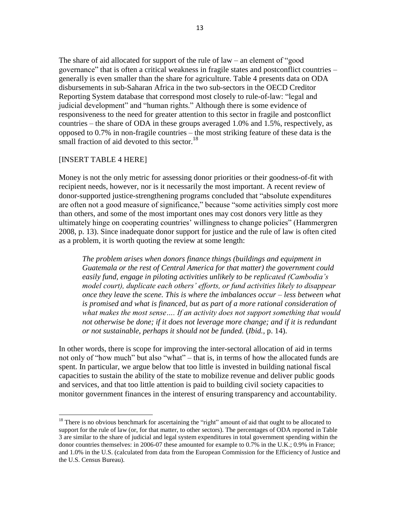The share of aid allocated for support of the rule of law – an element of "good governance" that is often a critical weakness in fragile states and postconflict countries – generally is even smaller than the share for agriculture. Table 4 presents data on ODA disbursements in sub-Saharan Africa in the two sub-sectors in the OECD Creditor Reporting System database that correspond most closely to rule-of-law: "legal and judicial development" and "human rights." Although there is some evidence of responsiveness to the need for greater attention to this sector in fragile and postconflict countries – the share of ODA in these groups averaged 1.0% and 1.5%, respectively, as opposed to 0.7% in non-fragile countries – the most striking feature of these data is the small fraction of aid devoted to this sector.<sup>18</sup>

#### [INSERT TABLE 4 HERE]

 $\overline{a}$ 

Money is not the only metric for assessing donor priorities or their goodness-of-fit with recipient needs, however, nor is it necessarily the most important. A recent review of donor-supported justice-strengthening programs concluded that "absolute expenditures are often not a good measure of significance," because "some activities simply cost more than others, and some of the most important ones may cost donors very little as they ultimately hinge on cooperating countries" willingness to change policies" (Hammergren 2008, p. 13). Since inadequate donor support for justice and the rule of law is often cited as a problem, it is worth quoting the review at some length:

*The problem arises when donors finance things (buildings and equipment in Guatemala or the rest of Central America for that matter) the government could easily fund, engage in piloting activities unlikely to be replicated (Cambodia's model court), duplicate each others' efforts, or fund activities likely to disappear once they leave the scene. This is where the imbalances occur – less between what is promised and what is financed, but as part of a more rational consideration of what makes the most sense…. If an activity does not support something that would not otherwise be done; if it does not leverage more change; and if it is redundant or not sustainable, perhaps it should not be funded.* (*Ibid.,* p. 14).

In other words, there is scope for improving the inter-sectoral allocation of aid in terms not only of "how much" but also "what" – that is, in terms of how the allocated funds are spent. In particular, we argue below that too little is invested in building national fiscal capacities to sustain the ability of the state to mobilize revenue and deliver public goods and services, and that too little attention is paid to building civil society capacities to monitor government finances in the interest of ensuring transparency and accountability.

<sup>&</sup>lt;sup>18</sup> There is no obvious benchmark for ascertaining the "right" amount of aid that ought to be allocated to support for the rule of law (or, for that matter, to other sectors). The percentages of ODA reported in Table 3 are similar to the share of judicial and legal system expenditures in total government spending within the donor countries themselves: in 2006-07 these amounted for example to 0.7% in the U.K.; 0.9% in France; and 1.0% in the U.S. (calculated from data from the European Commission for the Efficiency of Justice and the U.S. Census Bureau).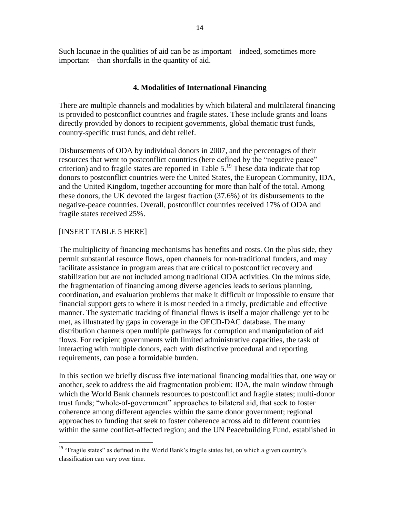Such lacunae in the qualities of aid can be as important – indeed, sometimes more important – than shortfalls in the quantity of aid.

# **4. Modalities of International Financing**

There are multiple channels and modalities by which bilateral and multilateral financing is provided to postconflict countries and fragile states. These include grants and loans directly provided by donors to recipient governments, global thematic trust funds, country-specific trust funds, and debt relief.

Disbursements of ODA by individual donors in 2007, and the percentages of their resources that went to postconflict countries (here defined by the "negative peace" criterion) and to fragile states are reported in Table 5. <sup>19</sup> These data indicate that top donors to postconflict countries were the United States, the European Community, IDA, and the United Kingdom, together accounting for more than half of the total. Among these donors, the UK devoted the largest fraction (37.6%) of its disbursements to the negative-peace countries. Overall, postconflict countries received 17% of ODA and fragile states received 25%.

# [INSERT TABLE 5 HERE]

The multiplicity of financing mechanisms has benefits and costs. On the plus side, they permit substantial resource flows, open channels for non-traditional funders, and may facilitate assistance in program areas that are critical to postconflict recovery and stabilization but are not included among traditional ODA activities. On the minus side, the fragmentation of financing among diverse agencies leads to serious planning, coordination, and evaluation problems that make it difficult or impossible to ensure that financial support gets to where it is most needed in a timely, predictable and effective manner. The systematic tracking of financial flows is itself a major challenge yet to be met, as illustrated by gaps in coverage in the OECD-DAC database. The many distribution channels open multiple pathways for corruption and manipulation of aid flows. For recipient governments with limited administrative capacities, the task of interacting with multiple donors, each with distinctive procedural and reporting requirements, can pose a formidable burden.

In this section we briefly discuss five international financing modalities that, one way or another, seek to address the aid fragmentation problem: IDA, the main window through which the World Bank channels resources to postconflict and fragile states; multi-donor trust funds; "whole-of-government" approaches to bilateral aid, that seek to foster coherence among different agencies within the same donor government; regional approaches to funding that seek to foster coherence across aid to different countries within the same conflict-affected region; and the UN Peacebuilding Fund, established in

 $\overline{a}$ <sup>19</sup> "Fragile states" as defined in the World Bank's fragile states list, on which a given country's classification can vary over time.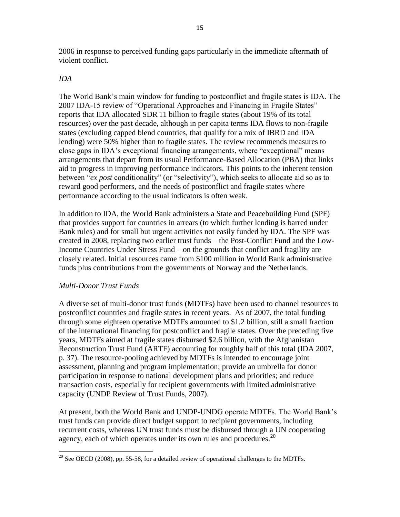2006 in response to perceived funding gaps particularly in the immediate aftermath of violent conflict.

# *IDA*

The World Bank"s main window for funding to postconflict and fragile states is IDA. The 2007 IDA-15 review of "Operational Approaches and Financing in Fragile States" reports that IDA allocated SDR 11 billion to fragile states (about 19% of its total resources) over the past decade, although in per capita terms IDA flows to non-fragile states (excluding capped blend countries, that qualify for a mix of IBRD and IDA lending) were 50% higher than to fragile states. The review recommends measures to close gaps in IDA"s exceptional financing arrangements, where "exceptional" means arrangements that depart from its usual Performance-Based Allocation (PBA) that links aid to progress in improving performance indicators. This points to the inherent tension between "*ex post* conditionality" (or "selectivity"), which seeks to allocate aid so as to reward good performers, and the needs of postconflict and fragile states where performance according to the usual indicators is often weak.

In addition to IDA, the World Bank administers a State and Peacebuilding Fund (SPF) that provides support for countries in arrears (to which further lending is barred under Bank rules) and for small but urgent activities not easily funded by IDA. The SPF was created in 2008, replacing two earlier trust funds – the Post-Conflict Fund and the Low-Income Countries Under Stress Fund – on the grounds that conflict and fragility are closely related. Initial resources came from \$100 million in World Bank administrative funds plus contributions from the governments of Norway and the Netherlands.

# *Multi-Donor Trust Funds*

A diverse set of multi-donor trust funds (MDTFs) have been used to channel resources to postconflict countries and fragile states in recent years. As of 2007, the total funding through some eighteen operative MDTFs amounted to \$1.2 billion, still a small fraction of the international financing for postconflict and fragile states. Over the preceding five years, MDTFs aimed at fragile states disbursed \$2.6 billion, with the Afghanistan Reconstruction Trust Fund (ARTF) accounting for roughly half of this total (IDA 2007, p. 37). The resource-pooling achieved by MDTFs is intended to encourage joint assessment, planning and program implementation; provide an umbrella for donor participation in response to national development plans and priorities; and reduce transaction costs, especially for recipient governments with limited administrative capacity (UNDP Review of Trust Funds, 2007).

At present, both the World Bank and UNDP-UNDG operate MDTFs. The World Bank"s trust funds can provide direct budget support to recipient governments, including recurrent costs, whereas UN trust funds must be disbursed through a UN cooperating agency, each of which operates under its own rules and procedures.<sup>20</sup>

 $\overline{a}$ <sup>20</sup> See OECD (2008), pp. 55-58, for a detailed review of operational challenges to the MDTFs.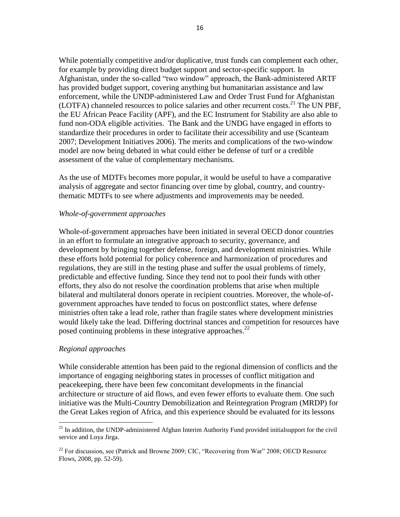While potentially competitive and/or duplicative, trust funds can complement each other, for example by providing direct budget support and sector-specific support. In Afghanistan, under the so-called "two window" approach, the Bank-administered ARTF has provided budget support, covering anything but humanitarian assistance and law enforcement, while the UNDP-administered Law and Order Trust Fund for Afghanistan (LOTFA) channeled resources to police salaries and other recurrent costs. <sup>21</sup> The UN PBF, the EU African Peace Facility (APF), and the EC Instrument for Stability are also able to fund non-ODA eligible activities. The Bank and the UNDG have engaged in efforts to standardize their procedures in order to facilitate their accessibility and use (Scanteam 2007; Development Initiatives 2006). The merits and complications of the two-window model are now being debated in what could either be defense of turf or a credible assessment of the value of complementary mechanisms.

As the use of MDTFs becomes more popular, it would be useful to have a comparative analysis of aggregate and sector financing over time by global, country, and countrythematic MDTFs to see where adjustments and improvements may be needed.

#### *Whole-of-government approaches*

Whole-of-government approaches have been initiated in several OECD donor countries in an effort to formulate an integrative approach to security, governance, and development by bringing together defense, foreign, and development ministries. While these efforts hold potential for policy coherence and harmonization of procedures and regulations, they are still in the testing phase and suffer the usual problems of timely, predictable and effective funding. Since they tend not to pool their funds with other efforts, they also do not resolve the coordination problems that arise when multiple bilateral and multilateral donors operate in recipient countries. Moreover, the whole-ofgovernment approaches have tended to focus on postconflict states, where defense ministries often take a lead role, rather than fragile states where development ministries would likely take the lead. Differing doctrinal stances and competition for resources have posed continuing problems in these integrative approaches. $^{22}$ 

#### *Regional approaches*

 $\overline{a}$ 

While considerable attention has been paid to the regional dimension of conflicts and the importance of engaging neighboring states in processes of conflict mitigation and peacekeeping, there have been few concomitant developments in the financial architecture or structure of aid flows, and even fewer efforts to evaluate them. One such initiative was the Multi-Country Demobilization and Reintegration Program (MRDP) for the Great Lakes region of Africa, and this experience should be evaluated for its lessons

 $^{21}$  In addition, the UNDP-administered Afghan Interim Authority Fund provided initialsupport for the civil service and Loya Jirga.

 $^{22}$  For discussion, see (Patrick and Browne 2009; CIC, "Recovering from War" 2008; OECD Resource Flows, 2008, pp. 52-59).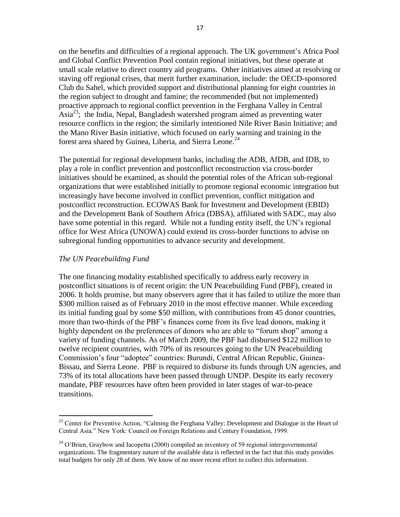on the benefits and difficulties of a regional approach. The UK government"s Africa Pool and Global Conflict Prevention Pool contain regional initiatives, but these operate at small scale relative to direct country aid programs. Other initiatives aimed at resolving or staving off regional crises, that merit further examination, include: the OECD-sponsored Club du Sahel, which provided support and distributional planning for eight countries in the region subject to drought and famine; the recommended (but not implemented) proactive approach to regional conflict prevention in the Ferghana Valley in Central Asia<sup>23</sup>; the India, Nepal, Bangladesh watershed program aimed as preventing water resource conflicts in the region; the similarly intentioned Nile River Basin Initiative; and the Mano River Basin initiative, which focused on early warning and training in the forest area shared by Guinea, Liberia, and Sierra Leone.<sup>24</sup>

The potential for regional development banks, including the ADB, AfDB, and IDB, to play a role in conflict prevention and postconflict reconstruction via cross-border initiatives should be examined, as should the potential roles of the African sub-regional organizations that were established initially to promote regional economic integration but increasingly have become involved in conflict prevention, conflict mitigation and postconflict reconstruction. ECOWAS Bank for Investment and Development (EBID) and the Development Bank of Southern Africa (DBSA), affiliated with SADC, may also have some potential in this regard. While not a funding entity itself, the UN's regional office for West Africa (UNOWA) could extend its cross-border functions to advise on subregional funding opportunities to advance security and development.

### *The UN Peacebuilding Fund*

 $\overline{a}$ 

The one financing modality established specifically to address early recovery in postconflict situations is of recent origin: the UN Peacebuilding Fund (PBF), created in 2006. It holds promise, but many observers agree that it has failed to utilize the more than \$300 million raised as of February 2010 in the most effective manner. While exceeding its initial funding goal by some \$50 million, with contributions from 45 donor countries, more than two-thirds of the PBF"s finances come from its five lead donors, making it highly dependent on the preferences of donors who are able to "forum shop" among a variety of funding channels. As of March 2009, the PBF had disbursed \$122 million to twelve recipient countries, with 70% of its resources going to the UN Peacebuilding Commission"s four "adoptee" countries: Burundi, Central African Republic, Guinea-Bissau, and Sierra Leone. PBF is required to disburse its funds through UN agencies, and 73% of its total allocations have been passed through UNDP. Despite its early recovery mandate, PBF resources have often been provided in later stages of war-to-peace transitions.

<sup>&</sup>lt;sup>23</sup> Center for Preventive Action, "Calming the Ferghana Valley: Development and Dialogue in the Heart of Central Asia." New York: Council on Foreign Relations and Century Foundation, 1999.

<sup>&</sup>lt;sup>24</sup> O'Brien, Graybow and Iacopetta (2000) compiled an inventory of 59 regional intergovernmental organizations. The fragmentary nature of the available data is reflected in the fact that this study provides total budgets for only 28 of them. We know of no more recent effort to collect this information.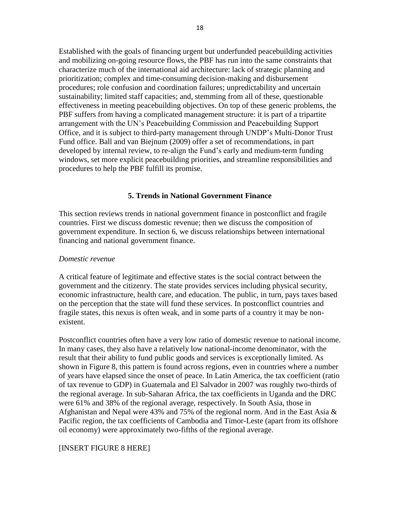Established with the goals of financing urgent but underfunded peacebuilding activities and mobilizing on-going resource flows, the PBF has run into the same constraints that characterize much of the international aid architecture: lack of strategic planning and prioritization; complex and time-consuming decision-making and disbursement procedures; role confusion and coordination failures; unpredictability and uncertain sustainability; limited staff capacities; and, stemming from all of these, questionable effectiveness in meeting peacebuilding objectives. On top of these generic problems, the PBF suffers from having a complicated management structure: it is part of a tripartite arrangement with the UN"s Peacebuilding Commission and Peacebuilding Support Office, and it is subject to third-party management through UNDP"s Multi-Donor Trust Fund office. Ball and van Biejnum (2009) offer a set of recommendations, in part developed by internal review, to re-align the Fund"s early and medium-term funding windows, set more explicit peacebuilding priorities, and streamline responsibilities and procedures to help the PBF fulfill its promise.

# **5. Trends in National Government Finance**

This section reviews trends in national government finance in postconflict and fragile countries. First we discuss domestic revenue; then we discuss the composition of government expenditure. In section 6, we discuss relationships between international financing and national government finance.

#### *Domestic revenue*

A critical feature of legitimate and effective states is the social contract between the government and the citizenry. The state provides services including physical security, economic infrastructure, health care, and education. The public, in turn, pays taxes based on the perception that the state will fund these services. In postconflict countries and fragile states, this nexus is often weak, and in some parts of a country it may be nonexistent.

Postconflict countries often have a very low ratio of domestic revenue to national income. In many cases, they also have a relatively low national-income denominator, with the result that their ability to fund public goods and services is exceptionally limited. As shown in Figure 8, this pattern is found across regions, even in countries where a number of years have elapsed since the onset of peace. In Latin America, the tax coefficient (ratio of tax revenue to GDP) in Guatemala and El Salvador in 2007 was roughly two-thirds of the regional average. In sub-Saharan Africa, the tax coefficients in Uganda and the DRC were 61% and 38% of the regional average, respectively. In South Asia, those in Afghanistan and Nepal were 43% and 75% of the regional norm. And in the East Asia & Pacific region, the tax coefficients of Cambodia and Timor-Leste (apart from its offshore oil economy) were approximately two-fifths of the regional average.

#### [INSERT FIGURE 8 HERE]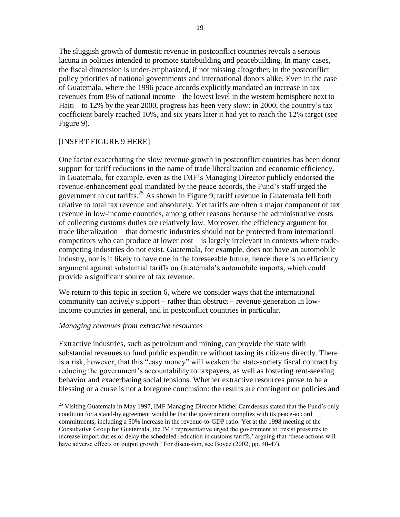The sluggish growth of domestic revenue in postconflict countries reveals a serious lacuna in policies intended to promote statebuilding and peacebuilding. In many cases, the fiscal dimension is under-emphasized, if not missing altogether, in the postconflict policy priorities of national governments and international donors alike. Even in the case of Guatemala, where the 1996 peace accords explicitly mandated an increase in tax revenues from 8% of national income – the lowest level in the western hemisphere next to Haiti – to 12% by the year 2000, progress has been very slow: in 2000, the country"s tax coefficient barely reached 10%, and six years later it had yet to reach the 12% target (see Figure 9).

# [INSERT FIGURE 9 HERE]

One factor exacerbating the slow revenue growth in postconflict countries has been donor support for tariff reductions in the name of trade liberalization and economic efficiency. In Guatemala, for example, even as the IMF"s Managing Director publicly endorsed the revenue-enhancement goal mandated by the peace accords, the Fund"s staff urged the government to cut tariffs.<sup>25</sup> As shown in Figure 9, tariff revenue in Guatemala fell both relative to total tax revenue and absolutely. Yet tariffs are often a major component of tax revenue in low-income countries, among other reasons because the administrative costs of collecting customs duties are relatively low. Moreover, the efficiency argument for trade liberalization – that domestic industries should not be protected from international competitors who can produce at lower cost – is largely irrelevant in contexts where tradecompeting industries do not exist. Guatemala, for example, does not have an automobile industry, nor is it likely to have one in the foreseeable future; hence there is no efficiency argument against substantial tariffs on Guatemala"s automobile imports, which could provide a significant source of tax revenue.

We return to this topic in section 6, where we consider ways that the international community can actively support – rather than obstruct – revenue generation in lowincome countries in general, and in postconflict countries in particular.

# *Managing revenues from extractive resources*

 $\overline{a}$ 

Extractive industries, such as petroleum and mining, can provide the state with substantial revenues to fund public expenditure without taxing its citizens directly. There is a risk, however, that this "easy money" will weaken the state-society fiscal contract by reducing the government"s accountability to taxpayers, as well as fostering rent-seeking behavior and exacerbating social tensions. Whether extractive resources prove to be a blessing or a curse is not a foregone conclusion: the results are contingent on policies and

<sup>&</sup>lt;sup>25</sup> Visiting Guatemala in May 1997, IMF Managing Director Michel Camdessus stated that the Fund's only condition for a stand-by agreement would be that the government complies with its peace-accord commitments, including a 50% increase in the revenue-to-GDP ratio. Yet at the 1998 meeting of the Consultative Group for Guatemala, the IMF representative urged the government to "resist pressures to increase import duties or delay the scheduled reduction in customs tariffs,' arguing that 'these actions will have adverse effects on output growth.' For discussion, see Boyce (2002, pp. 40-47).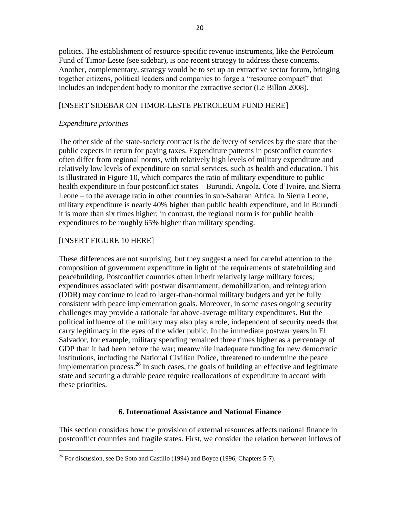politics. The establishment of resource-specific revenue instruments, like the Petroleum Fund of Timor-Leste (see sidebar), is one recent strategy to address these concerns. Another, complementary, strategy would be to set up an extractive sector forum, bringing together citizens, political leaders and companies to forge a "resource compact" that includes an independent body to monitor the extractive sector (Le Billon 2008).

### [INSERT SIDEBAR ON TIMOR-LESTE PETROLEUM FUND HERE]

#### *Expenditure priorities*

The other side of the state-society contract is the delivery of services by the state that the public expects in return for paying taxes. Expenditure patterns in postconflict countries often differ from regional norms, with relatively high levels of military expenditure and relatively low levels of expenditure on social services, such as health and education. This is illustrated in Figure 10, which compares the ratio of military expenditure to public health expenditure in four postconflict states – Burundi, Angola, Cote d'Ivoire, and Sierra Leone – to the average ratio in other countries in sub-Saharan Africa. In Sierra Leone, military expenditure is nearly 40% higher than public health expenditure, and in Burundi it is more than six times higher; in contrast, the regional norm is for public health expenditures to be roughly 65% higher than military spending.

# [INSERT FIGURE 10 HERE]

 $\overline{a}$ 

These differences are not surprising, but they suggest a need for careful attention to the composition of government expenditure in light of the requirements of statebuilding and peacebuilding. Postconflict countries often inherit relatively large military forces; expenditures associated with postwar disarmament, demobilization, and reintegration (DDR) may continue to lead to larger-than-normal military budgets and yet be fully consistent with peace implementation goals. Moreover, in some cases ongoing security challenges may provide a rationale for above-average military expenditures. But the political influence of the military may also play a role, independent of security needs that carry legitimacy in the eyes of the wider public. In the immediate postwar years in El Salvador, for example, military spending remained three times higher as a percentage of GDP than it had been before the war; meanwhile inadequate funding for new democratic institutions, including the National Civilian Police, threatened to undermine the peace implementation process.<sup>26</sup> In such cases, the goals of building an effective and legitimate state and securing a durable peace require reallocations of expenditure in accord with these priorities.

#### **6. International Assistance and National Finance**

This section considers how the provision of external resources affects national finance in postconflict countries and fragile states. First, we consider the relation between inflows of

 $26$  For discussion, see De Soto and Castillo (1994) and Boyce (1996, Chapters 5-7).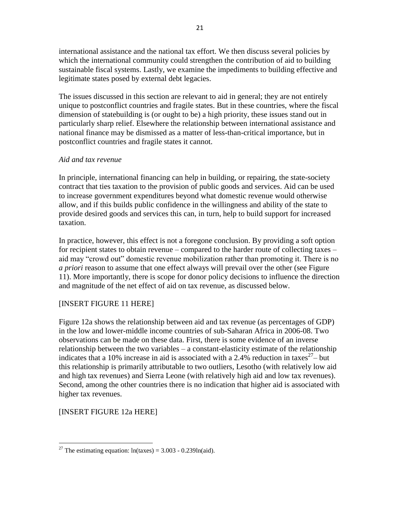international assistance and the national tax effort. We then discuss several policies by which the international community could strengthen the contribution of aid to building sustainable fiscal systems. Lastly, we examine the impediments to building effective and legitimate states posed by external debt legacies.

The issues discussed in this section are relevant to aid in general; they are not entirely unique to postconflict countries and fragile states. But in these countries, where the fiscal dimension of statebuilding is (or ought to be) a high priority, these issues stand out in particularly sharp relief. Elsewhere the relationship between international assistance and national finance may be dismissed as a matter of less-than-critical importance, but in postconflict countries and fragile states it cannot.

# *Aid and tax revenue*

In principle, international financing can help in building, or repairing, the state-society contract that ties taxation to the provision of public goods and services. Aid can be used to increase government expenditures beyond what domestic revenue would otherwise allow, and if this builds public confidence in the willingness and ability of the state to provide desired goods and services this can, in turn, help to build support for increased taxation.

In practice, however, this effect is not a foregone conclusion. By providing a soft option for recipient states to obtain revenue – compared to the harder route of collecting taxes – aid may "crowd out" domestic revenue mobilization rather than promoting it. There is no *a priori* reason to assume that one effect always will prevail over the other (see Figure 11). More importantly, there is scope for donor policy decisions to influence the direction and magnitude of the net effect of aid on tax revenue, as discussed below.

# [INSERT FIGURE 11 HERE]

Figure 12a shows the relationship between aid and tax revenue (as percentages of GDP) in the low and lower-middle income countries of sub-Saharan Africa in 2006-08. Two observations can be made on these data. First, there is some evidence of an inverse relationship between the two variables – a constant-elasticity estimate of the relationship indicates that a 10% increase in aid is associated with a 2.4% reduction in taxes<sup>27</sup> – but this relationship is primarily attributable to two outliers, Lesotho (with relatively low aid and high tax revenues) and Sierra Leone (with relatively high aid and low tax revenues). Second, among the other countries there is no indication that higher aid is associated with higher tax revenues.

# [INSERT FIGURE 12a HERE]

 $\overline{a}$ <sup>27</sup> The estimating equation:  $ln(taxes) = 3.003 - 0.239ln(aid)$ .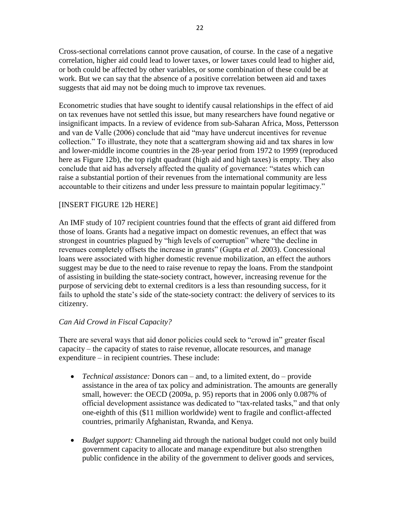Cross-sectional correlations cannot prove causation, of course. In the case of a negative correlation, higher aid could lead to lower taxes, or lower taxes could lead to higher aid, or both could be affected by other variables, or some combination of these could be at work. But we can say that the absence of a positive correlation between aid and taxes suggests that aid may not be doing much to improve tax revenues.

Econometric studies that have sought to identify causal relationships in the effect of aid on tax revenues have not settled this issue, but many researchers have found negative or insignificant impacts. In a review of evidence from sub-Saharan Africa, Moss, Pettersson and van de Valle (2006) conclude that aid "may have undercut incentives for revenue collection." To illustrate, they note that a scattergram showing aid and tax shares in low and lower-middle income countries in the 28-year period from 1972 to 1999 (reproduced here as Figure 12b), the top right quadrant (high aid and high taxes) is empty. They also conclude that aid has adversely affected the quality of governance: "states which can raise a substantial portion of their revenues from the international community are less accountable to their citizens and under less pressure to maintain popular legitimacy."

# [INSERT FIGURE 12b HERE]

An IMF study of 107 recipient countries found that the effects of grant aid differed from those of loans. Grants had a negative impact on domestic revenues, an effect that was strongest in countries plagued by "high levels of corruption" where "the decline in revenues completely offsets the increase in grants" (Gupta *et al.* 2003). Concessional loans were associated with higher domestic revenue mobilization, an effect the authors suggest may be due to the need to raise revenue to repay the loans. From the standpoint of assisting in building the state-society contract, however, increasing revenue for the purpose of servicing debt to external creditors is a less than resounding success, for it fails to uphold the state's side of the state-society contract: the delivery of services to its citizenry.

# *Can Aid Crowd in Fiscal Capacity?*

There are several ways that aid donor policies could seek to "crowd in" greater fiscal capacity – the capacity of states to raise revenue, allocate resources, and manage expenditure – in recipient countries. These include:

- *Technical assistance:* Donors can and, to a limited extent, do provide assistance in the area of tax policy and administration. The amounts are generally small, however: the OECD (2009a, p. 95) reports that in 2006 only 0.087% of official development assistance was dedicated to "tax-related tasks," and that only one-eighth of this (\$11 million worldwide) went to fragile and conflict-affected countries, primarily Afghanistan, Rwanda, and Kenya.
- *Budget support:* Channeling aid through the national budget could not only build government capacity to allocate and manage expenditure but also strengthen public confidence in the ability of the government to deliver goods and services,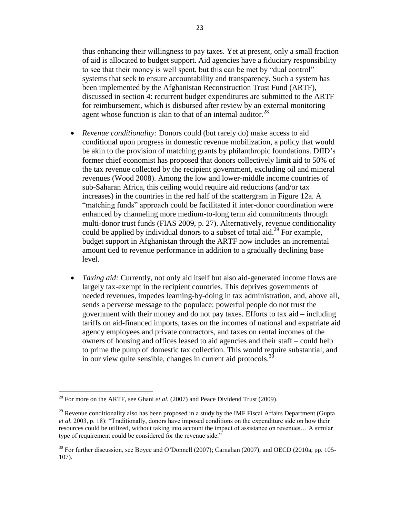thus enhancing their willingness to pay taxes. Yet at present, only a small fraction of aid is allocated to budget support. Aid agencies have a fiduciary responsibility to see that their money is well spent, but this can be met by "dual control" systems that seek to ensure accountability and transparency. Such a system has been implemented by the Afghanistan Reconstruction Trust Fund (ARTF), discussed in section 4: recurrent budget expenditures are submitted to the ARTF for reimbursement, which is disbursed after review by an external monitoring agent whose function is akin to that of an internal auditor.<sup>28</sup>

- *Revenue conditionality:* Donors could (but rarely do) make access to aid conditional upon progress in domestic revenue mobilization, a policy that would be akin to the provision of matching grants by philanthropic foundations. DfID"s former chief economist has proposed that donors collectively limit aid to 50% of the tax revenue collected by the recipient government, excluding oil and mineral revenues (Wood 2008). Among the low and lower-middle income countries of sub-Saharan Africa, this ceiling would require aid reductions (and/or tax increases) in the countries in the red half of the scattergram in Figure 12a. A "matching funds" approach could be facilitated if inter-donor coordination were enhanced by channeling more medium-to-long term aid commitments through multi-donor trust funds (FIAS 2009, p. 27). Alternatively, revenue conditionality could be applied by individual donors to a subset of total aid.<sup>29</sup> For example, budget support in Afghanistan through the ARTF now includes an incremental amount tied to revenue performance in addition to a gradually declining base level.
- *Taxing aid:* Currently, not only aid itself but also aid-generated income flows are largely tax-exempt in the recipient countries. This deprives governments of needed revenues, impedes learning-by-doing in tax administration, and, above all, sends a perverse message to the populace: powerful people do not trust the government with their money and do not pay taxes. Efforts to tax aid – including tariffs on aid-financed imports, taxes on the incomes of national and expatriate aid agency employees and private contractors, and taxes on rental incomes of the owners of housing and offices leased to aid agencies and their staff – could help to prime the pump of domestic tax collection. This would require substantial, and in our view quite sensible, changes in current aid protocols.<sup>30</sup>

<sup>&</sup>lt;sup>28</sup> For more on the ARTF, see Ghani *et al.* (2007) and Peace Dividend Trust (2009).

<sup>&</sup>lt;sup>29</sup> Revenue conditionality also has been proposed in a study by the IMF Fiscal Affairs Department (Gupta *et al.* 2003, p. 18): "Traditionally, donors have imposed conditions on the expenditure side on how their resources could be utilized, without taking into account the impact of assistance on revenues… A similar type of requirement could be considered for the revenue side."

<sup>&</sup>lt;sup>30</sup> For further discussion, see Boyce and O'Donnell (2007); Carnahan (2007); and OECD (2010a, pp. 105-107).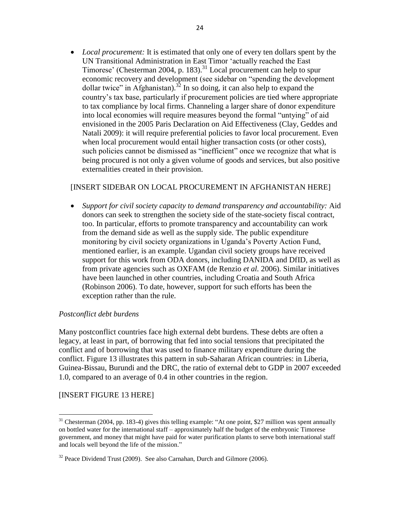• *Local procurement:* It is estimated that only one of every ten dollars spent by the UN Transitional Administration in East Timor "actually reached the East Timorese' (Chesterman 2004, p. 183).<sup>31</sup> Local procurement can help to spur economic recovery and development (see sidebar on "spending the development dollar twice" in Afghanistan).<sup>32</sup> In so doing, it can also help to expand the country"s tax base, particularly if procurement policies are tied where appropriate to tax compliance by local firms. Channeling a larger share of donor expenditure into local economies will require measures beyond the formal "untying" of aid envisioned in the 2005 Paris Declaration on Aid Effectiveness (Clay, Geddes and Natali 2009): it will require preferential policies to favor local procurement. Even when local procurement would entail higher transaction costs (or other costs), such policies cannot be dismissed as "inefficient" once we recognize that what is being procured is not only a given volume of goods and services, but also positive externalities created in their provision.

# [INSERT SIDEBAR ON LOCAL PROCUREMENT IN AFGHANISTAN HERE]

 *Support for civil society capacity to demand transparency and accountability:* Aid donors can seek to strengthen the society side of the state-society fiscal contract, too. In particular, efforts to promote transparency and accountability can work from the demand side as well as the supply side. The public expenditure monitoring by civil society organizations in Uganda"s Poverty Action Fund, mentioned earlier, is an example. Ugandan civil society groups have received support for this work from ODA donors, including DANIDA and DfID, as well as from private agencies such as OXFAM (de Renzio *et al.* 2006). Similar initiatives have been launched in other countries, including Croatia and South Africa (Robinson 2006). To date, however, support for such efforts has been the exception rather than the rule.

# *Postconflict debt burdens*

Many postconflict countries face high external debt burdens. These debts are often a legacy, at least in part, of borrowing that fed into social tensions that precipitated the conflict and of borrowing that was used to finance military expenditure during the conflict. Figure 13 illustrates this pattern in sub-Saharan African countries: in Liberia, Guinea-Bissau, Burundi and the DRC, the ratio of external debt to GDP in 2007 exceeded 1.0, compared to an average of 0.4 in other countries in the region.

# [INSERT FIGURE 13 HERE]

 $31$  Chesterman (2004, pp. 183-4) gives this telling example: "At one point, \$27 million was spent annually on bottled water for the international staff – approximately half the budget of the embryonic Timorese government, and money that might have paid for water purification plants to serve both international staff and locals well beyond the life of the mission."

 $32$  Peace Dividend Trust (2009). See also Carnahan, Durch and Gilmore (2006).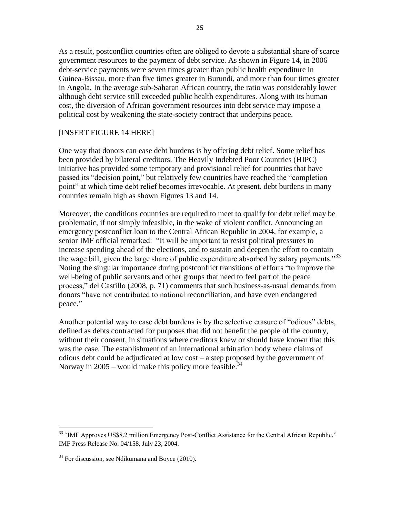As a result, postconflict countries often are obliged to devote a substantial share of scarce government resources to the payment of debt service. As shown in Figure 14, in 2006 debt-service payments were seven times greater than public health expenditure in Guinea-Bissau, more than five times greater in Burundi, and more than four times greater in Angola. In the average sub-Saharan African country, the ratio was considerably lower although debt service still exceeded public health expenditures. Along with its human cost, the diversion of African government resources into debt service may impose a political cost by weakening the state-society contract that underpins peace.

# [INSERT FIGURE 14 HERE]

One way that donors can ease debt burdens is by offering debt relief. Some relief has been provided by bilateral creditors. The Heavily Indebted Poor Countries (HIPC) initiative has provided some temporary and provisional relief for countries that have passed its "decision point," but relatively few countries have reached the "completion point" at which time debt relief becomes irrevocable. At present, debt burdens in many countries remain high as shown Figures 13 and 14.

Moreover, the conditions countries are required to meet to qualify for debt relief may be problematic, if not simply infeasible, in the wake of violent conflict. Announcing an emergency postconflict loan to the Central African Republic in 2004, for example, a senior IMF official remarked: "It will be important to resist political pressures to increase spending ahead of the elections, and to sustain and deepen the effort to contain the wage bill, given the large share of public expenditure absorbed by salary payments."<sup>33</sup> Noting the singular importance during postconflict transitions of efforts "to improve the well-being of public servants and other groups that need to feel part of the peace process," del Castillo (2008, p. 71) comments that such business-as-usual demands from donors "have not contributed to national reconciliation, and have even endangered peace."

Another potential way to ease debt burdens is by the selective erasure of "odious" debts, defined as debts contracted for purposes that did not benefit the people of the country, without their consent, in situations where creditors knew or should have known that this was the case. The establishment of an international arbitration body where claims of odious debt could be adjudicated at low cost – a step proposed by the government of Norway in 2005 – would make this policy more feasible.<sup>34</sup>

<sup>&</sup>lt;sup>33</sup> "IMF Approves US\$8.2 million Emergency Post-Conflict Assistance for the Central African Republic," IMF Press Release No. 04/158, July 23, 2004.

 $34$  For discussion, see Ndikumana and Boyce (2010).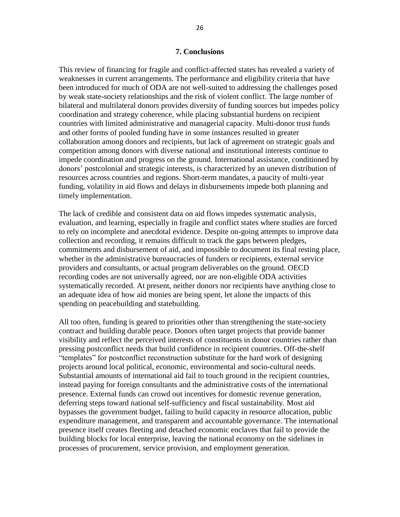#### **7. Conclusions**

This review of financing for fragile and conflict-affected states has revealed a variety of weaknesses in current arrangements. The performance and eligibility criteria that have been introduced for much of ODA are not well-suited to addressing the challenges posed by weak state-society relationships and the risk of violent conflict. The large number of bilateral and multilateral donors provides diversity of funding sources but impedes policy coordination and strategy coherence, while placing substantial burdens on recipient countries with limited administrative and managerial capacity. Multi-donor trust funds and other forms of pooled funding have in some instances resulted in greater collaboration among donors and recipients, but lack of agreement on strategic goals and competition among donors with diverse national and institutional interests continue to impede coordination and progress on the ground. International assistance, conditioned by donors' postcolonial and strategic interests, is characterized by an uneven distribution of resources across countries and regions. Short-term mandates, a paucity of multi-year funding, volatility in aid flows and delays in disbursements impede both planning and timely implementation.

The lack of credible and consistent data on aid flows impedes systematic analysis, evaluation, and learning, especially in fragile and conflict states where studies are forced to rely on incomplete and anecdotal evidence. Despite on-going attempts to improve data collection and recording, it remains difficult to track the gaps between pledges, commitments and disbursement of aid, and impossible to document its final resting place, whether in the administrative bureaucracies of funders or recipients, external service providers and consultants, or actual program deliverables on the ground. OECD recording codes are not universally agreed, nor are non-eligible ODA activities systematically recorded. At present, neither donors nor recipients have anything close to an adequate idea of how aid monies are being spent, let alone the impacts of this spending on peacebuilding and statebuilding.

All too often, funding is geared to priorities other than strengthening the state-society contract and building durable peace. Donors often target projects that provide banner visibility and reflect the perceived interests of constituents in donor countries rather than pressing postconflict needs that build confidence in recipient countries. Off-the-shelf "templates" for postconflict reconstruction substitute for the hard work of designing projects around local political, economic, environmental and socio-cultural needs. Substantial amounts of international aid fail to touch ground in the recipient countries, instead paying for foreign consultants and the administrative costs of the international presence. External funds can crowd out incentives for domestic revenue generation, deferring steps toward national self-sufficiency and fiscal sustainability. Most aid bypasses the government budget, failing to build capacity in resource allocation, public expenditure management, and transparent and accountable governance. The international presence itself creates fleeting and detached economic enclaves that fail to provide the building blocks for local enterprise, leaving the national economy on the sidelines in processes of procurement, service provision, and employment generation.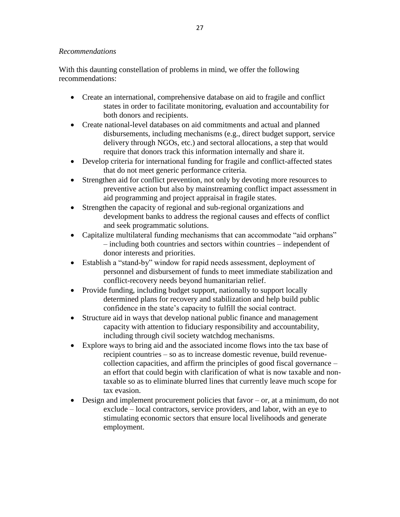# *Recommendations*

With this daunting constellation of problems in mind, we offer the following recommendations:

- Create an international, comprehensive database on aid to fragile and conflict states in order to facilitate monitoring, evaluation and accountability for both donors and recipients.
- Create national-level databases on aid commitments and actual and planned disbursements, including mechanisms (e.g., direct budget support, service delivery through NGOs, etc.) and sectoral allocations, a step that would require that donors track this information internally and share it.
- Develop criteria for international funding for fragile and conflict-affected states that do not meet generic performance criteria.
- Strengthen aid for conflict prevention, not only by devoting more resources to preventive action but also by mainstreaming conflict impact assessment in aid programming and project appraisal in fragile states.
- Strengthen the capacity of regional and sub-regional organizations and development banks to address the regional causes and effects of conflict and seek programmatic solutions.
- Capitalize multilateral funding mechanisms that can accommodate "aid orphans" – including both countries and sectors within countries – independent of donor interests and priorities.
- Establish a "stand-by" window for rapid needs assessment, deployment of personnel and disbursement of funds to meet immediate stabilization and conflict-recovery needs beyond humanitarian relief.
- Provide funding, including budget support, nationally to support locally determined plans for recovery and stabilization and help build public confidence in the state"s capacity to fulfill the social contract.
- Structure aid in ways that develop national public finance and management capacity with attention to fiduciary responsibility and accountability, including through civil society watchdog mechanisms.
- Explore ways to bring aid and the associated income flows into the tax base of recipient countries – so as to increase domestic revenue, build revenuecollection capacities, and affirm the principles of good fiscal governance – an effort that could begin with clarification of what is now taxable and nontaxable so as to eliminate blurred lines that currently leave much scope for tax evasion.
- Design and implement procurement policies that favor or, at a minimum, do not exclude – local contractors, service providers, and labor, with an eye to stimulating economic sectors that ensure local livelihoods and generate employment.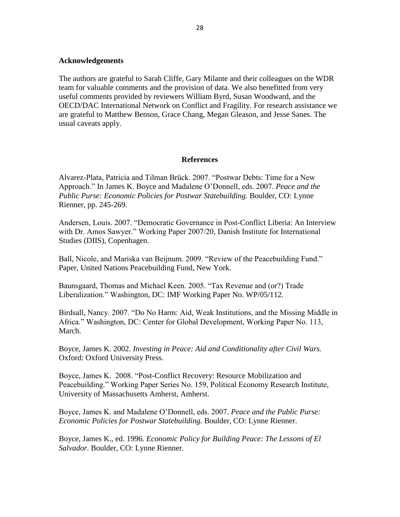#### **Acknowledgements**

The authors are grateful to Sarah Cliffe, Gary Milante and their colleagues on the WDR team for valuable comments and the provision of data. We also benefitted from very useful comments provided by reviewers William Byrd, Susan Woodward, and the OECD/DAC International Network on Conflict and Fragility. For research assistance we are grateful to Matthew Benson, Grace Chang, Megan Gleason, and Jesse Sanes. The usual caveats apply.

#### **References**

Alvarez-Plata, Patricia and Tilman Brück. 2007. "Postwar Debts: Time for a New Approach." In James K. Boyce and Madalene O"Donnell, eds. 2007. *Peace and the Public Purse: Economic Policies for Postwar Statebuilding.* Boulder, CO: Lynne Rienner, pp. 245-269.

Andersen, Louis. 2007. "Democratic Governance in Post-Conflict Liberia: An Interview with Dr. Amos Sawyer." Working Paper 2007/20, Danish Institute for International Studies (DIIS), Copenhagen.

Ball, Nicole, and Mariska van Beijnum. 2009. "Review of the Peacebuilding Fund." Paper, United Nations Peacebuilding Fund, New York.

Baunsgaard, Thomas and Michael Keen. 2005. "Tax Revenue and (or?) Trade Liberalization." Washington, DC: IMF Working Paper No. WP/05/112.

Birdsall, Nancy. 2007. "Do No Harm: Aid, Weak Institutions, and the Missing Middle in Africa." Washington, DC: Center for Global Development, Working Paper No. 113, March.

Boyce, James K. 2002. *Investing in Peace: Aid and Conditionality after Civil Wars.* Oxford: Oxford University Press.

Boyce, James K. 2008. "Post-Conflict Recovery: Resource Mobilization and Peacebuilding." Working Paper Series No. 159, Political Economy Research Institute, University of Massachusetts Amherst, Amherst.

Boyce, James K. and Madalene O"Donnell, eds. 2007. *Peace and the Public Purse: Economic Policies for Postwar Statebuilding.* Boulder, CO: Lynne Rienner.

Boyce, James K., ed. 1996. *[Economic Policy for Building Peace:](http://www.amazon.com/gp/product/1555875262/102-5578914-5673739?v=glance&n=283155) The Lessons of El Salvador.* Boulder, CO: Lynne Rienner.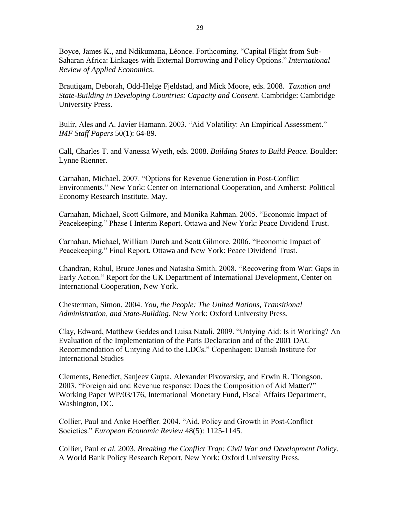Boyce, James K., and Ndikumana, Léonce. Forthcoming. "Capital Flight from Sub-Saharan Africa: Linkages with External Borrowing and Policy Options." *International Review of Applied Economics*.

Brautigam, Deborah, Odd-Helge Fjeldstad, and Mick Moore, eds. 2008. *Taxation and State-Building in Developing Countries: Capacity and Consent.* Cambridge: Cambridge University Press.

Bulir, Ales and A. Javier Hamann. 2003. "Aid Volatility: An Empirical Assessment." *IMF Staff Papers* 50(1): 64-89.

Call, Charles T. and Vanessa Wyeth, eds. 2008. *Building States to Build Peace.* Boulder: Lynne Rienner.

Carnahan, Michael. 2007. "Options for Revenue Generation in Post-Conflict Environments." New York: Center on International Cooperation, and Amherst: Political Economy Research Institute. May.

Carnahan, Michael, Scott Gilmore, and Monika Rahman. 2005. "Economic Impact of Peacekeeping." Phase I Interim Report. Ottawa and New York: Peace Dividend Trust.

Carnahan, Michael, William Durch and Scott Gilmore. 2006. "Economic Impact of Peacekeeping." Final Report. Ottawa and New York: Peace Dividend Trust.

Chandran, Rahul, Bruce Jones and Natasha Smith. 2008. "Recovering from War: Gaps in Early Action." Report for the UK Department of International Development, Center on International Cooperation, New York.

Chesterman, Simon. 2004. *You, the People: The United Nations, Transitional Administration, and State-Building*. New York: Oxford University Press.

Clay, Edward, Matthew Geddes and Luisa Natali. 2009. "Untying Aid: Is it Working? An Evaluation of the Implementation of the Paris Declaration and of the 2001 DAC Recommendation of Untying Aid to the LDCs." Copenhagen: Danish Institute for International Studies

Clements, Benedict, Sanjeev Gupta, Alexander Pivovarsky, and Erwin R. Tiongson. 2003. "Foreign aid and Revenue response: Does the Composition of Aid Matter?" Working Paper WP/03/176, International Monetary Fund, Fiscal Affairs Department, Washington, DC.

Collier, Paul and Anke Hoeffler. 2004. "Aid, Policy and Growth in Post-Conflict Societies." *European Economic Review* 48(5): 1125-1145.

Collier, Paul *et al.* 2003. *Breaking the Conflict Trap: Civil War and Development Policy.*  A World Bank Policy Research Report. New York: Oxford University Press.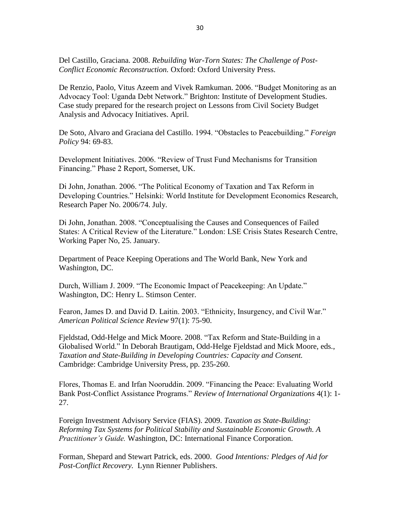Del Castillo, Graciana. 2008. *Rebuilding War-Torn States: The Challenge of Post-Conflict Economic Reconstruction.* Oxford: Oxford University Press.

De Renzio, Paolo, Vitus Azeem and Vivek Ramkuman. 2006. "Budget Monitoring as an Advocacy Tool: Uganda Debt Network." Brighton: Institute of Development Studies. Case study prepared for the research project on Lessons from Civil Society Budget Analysis and Advocacy Initiatives. April.

De Soto, Alvaro and Graciana del Castillo. 1994. "Obstacles to Peacebuilding." *Foreign Policy* 94: 69-83.

Development Initiatives. 2006. "Review of Trust Fund Mechanisms for Transition Financing." Phase 2 Report, Somerset, UK.

Di John, Jonathan. 2006. "The Political Economy of Taxation and Tax Reform in Developing Countries." Helsinki: World Institute for Development Economics Research, Research Paper No. 2006/74. July.

Di John, Jonathan. 2008. "Conceptualising the Causes and Consequences of Failed States: A Critical Review of the Literature." London: LSE Crisis States Research Centre, Working Paper No, 25. January.

Department of Peace Keeping Operations and The World Bank, New York and Washington, DC.

Durch, William J. 2009. "The Economic Impact of Peacekeeping: An Update." Washington, DC: Henry L. Stimson Center.

Fearon, James D. and David D. Laitin. 2003. "Ethnicity, Insurgency, and Civil War." *American Political Science Review* 97(1): 75-90.

Fjeldstad, Odd-Helge and Mick Moore. 2008. "Tax Reform and State-Building in a Globalised World." In Deborah Brautigam, Odd-Helge Fjeldstad and Mick Moore, eds., *Taxation and State-Building in Developing Countries: Capacity and Consent.*  Cambridge: Cambridge University Press, pp. 235-260.

Flores, Thomas E. and Irfan Nooruddin. 2009. "Financing the Peace: Evaluating World Bank Post-Conflict Assistance Programs." *Review of International Organizations* 4(1): 1- 27.

Foreign Investment Advisory Service (FIAS). 2009. *Taxation as State-Building: Reforming Tax Systems for Political Stability and Sustainable Economic Growth. A Practitioner's Guide.* Washington, DC: International Finance Corporation.

Forman, Shepard and Stewart Patrick, eds. 2000. *Good Intentions: Pledges of Aid for Post-Conflict Recovery.* Lynn Rienner Publishers.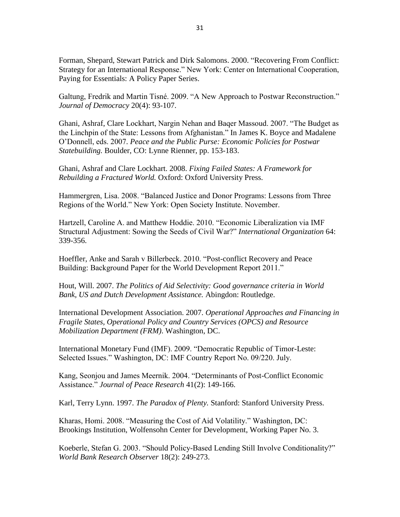Forman, Shepard, Stewart Patrick and Dirk Salomons. 2000. ["Recovering From Conflict:](http://www.cic.nyu.edu/peacebuilding/oldpdfs/Recovering%20From%20Conflict.pdf)  [Strategy for an International Response." New York: Center on International Cooperation,](http://www.cic.nyu.edu/peacebuilding/oldpdfs/Recovering%20From%20Conflict.pdf)  Paying for Essentials: A Policy Paper Series.

Galtung, Fredrik and Martin Tisné. 2009. "A New Approach to Postwar Reconstruction." *Journal of Democracy* 20(4): 93-107.

Ghani, Ashraf, Clare Lockhart, Nargin Nehan and Baqer Massoud. 2007. "The Budget as the Linchpin of the State: Lessons from Afghanistan." In James K. Boyce and Madalene O"Donnell, eds. 2007. *Peace and the Public Purse: Economic Policies for Postwar Statebuilding.* Boulder, CO: Lynne Rienner, pp. 153-183.

Ghani, Ashraf and Clare Lockhart. 2008. *Fixing Failed States: A Framework for Rebuilding a Fractured World.* Oxford: Oxford University Press.

Hammergren, Lisa. 2008. "Balanced Justice and Donor Programs: Lessons from Three Regions of the World." New York: Open Society Institute. November.

Hartzell, Caroline A. and Matthew Hoddie. 2010. "Economic Liberalization via IMF Structural Adjustment: Sowing the Seeds of Civil War?" *International Organization* 64: 339-356.

Hoeffler, Anke and Sarah v Billerbeck. 2010. "Post-conflict Recovery and Peace Building: Background Paper for the World Development Report 2011."

Hout, Will. 2007. *The Politics of Aid Selectivity: Good governance criteria in World Bank, US and Dutch Development Assistance.* Abingdon: Routledge.

International Development Association. 2007. *Operational Approaches and Financing in Fragile States, Operational Policy and Country Services (OPCS) and Resource Mobilization Department (FRM)*. Washington, DC.

International Monetary Fund (IMF). 2009. "Democratic Republic of Timor-Leste: Selected Issues." Washington, DC: IMF Country Report No. 09/220. July.

Kang, Seonjou and James Meernik. 2004. "Determinants of Post-Conflict Economic Assistance." *Journal of Peace Research* 41(2): 149-166.

Karl, Terry Lynn. 1997. *The Paradox of Plenty.* Stanford: Stanford University Press.

Kharas, Homi. 2008. "Measuring the Cost of Aid Volatility." Washington, DC: Brookings Institution, Wolfensohn Center for Development, Working Paper No. 3.

Koeberle, Stefan G. 2003. "Should Policy-Based Lending Still Involve Conditionality?" *World Bank Research Observer* 18(2): 249-273.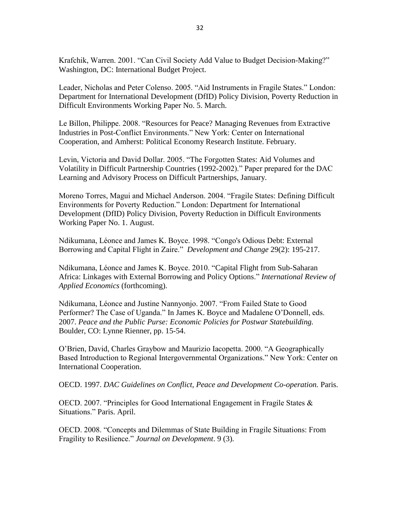Krafchik, Warren. 2001. "Can Civil Society Add Value to Budget Decision-Making?" Washington, DC: International Budget Project.

Leader, Nicholas and Peter Colenso. 2005. "Aid Instruments in Fragile States." London: Department for International Development (DfID) Policy Division, Poverty Reduction in Difficult Environments Working Paper No. 5. March.

Le Billon, Philippe. 2008. "Resources for Peace? Managing Revenues from Extractive Industries in Post-Conflict Environments." New York: Center on International Cooperation, and Amherst: Political Economy Research Institute. February.

Levin, Victoria and David Dollar. 2005. "The Forgotten States: Aid Volumes and Volatility in Difficult Partnership Countries (1992-2002)." Paper prepared for the DAC Learning and Advisory Process on Difficult Partnerships, January.

Moreno Torres, Magui and Michael Anderson. 2004. "Fragile States: Defining Difficult Environments for Poverty Reduction." London: Department for International Development (DfID) Policy Division, Poverty Reduction in Difficult Environments Working Paper No. 1. August.

Ndikumana, Léonce and James K. Boyce. 1998. "Congo's Odious Debt: External Borrowing and Capital Flight in Zaire." *Development and Change* 29(2): 195-217.

Ndikumana, Léonce and James K. Boyce. 2010. "Capital Flight from Sub-Saharan Africa: Linkages with External Borrowing and Policy Options." *International Review of Applied Economics* (forthcoming).

Ndikumana, Léonce and Justine Nannyonjo. 2007. "From Failed State to Good Performer? The Case of Uganda." In James K. Boyce and Madalene O"Donnell, eds. 2007. *Peace and the Public Purse: Economic Policies for Postwar Statebuilding.* Boulder, CO: Lynne Rienner, pp. 15-54.

O"Brien, David, Charles Graybow and Maurizio Iacopetta. 2000. "A Geographically Based Introduction to Regional Intergovernmental Organizations." New York: Center on International Cooperation.

OECD. 1997. *DAC Guidelines on Conflict, Peace and Development Co-operation.* Paris.

OECD. 2007. "Principles for Good International Engagement in Fragile States  $\&$ Situations." Paris. April.

OECD. 2008. "Concepts and Dilemmas of State Building in Fragile Situations: From Fragility to Resilience." *Journal on Development*. 9 (3).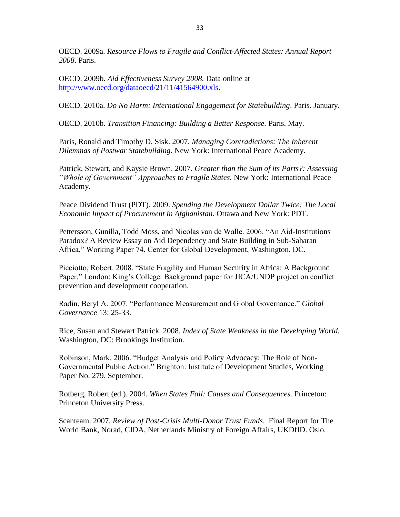OECD. 2009a. *Resource Flows to Fragile and Conflict-Affected States: Annual Report 2008*. Paris.

OECD. 2009b. *Aid Effectiveness Survey 2008.* Data online at [http://www.oecd.org/dataoecd/21/11/41564900.xls.](http://www.oecd.org/dataoecd/21/11/41564900.xls)

OECD. 2010a. *Do No Harm: International Engagement for Statebuilding*. Paris. January.

OECD. 2010b. *Transition Financing: Building a Better Response.* Paris. May.

Paris, Ronald and Timothy D. Sisk. 2007. *Managing Contradictions: The Inherent Dilemmas of Postwar Statebuilding.* New York: International Peace Academy.

Patrick, Stewart, and Kaysie Brown. 2007. *Greater than the Sum of its Parts?: Assessing "Whole of Government" Approaches to Fragile States*. New York: International Peace Academy.

Peace Dividend Trust (PDT). 2009. *Spending the Development Dollar Twice: The Local Economic Impact of Procurement in Afghanistan*. Ottawa and New York: PDT.

Pettersson, Gunilla, Todd Moss, and Nicolas van de Walle. 2006. "An Aid-Institutions Paradox? A Review Essay on Aid Dependency and State Building in Sub-Saharan Africa." Working Paper 74, Center for Global Development, Washington, DC.

Picciotto, Robert. 2008. "State Fragility and Human Security in Africa: A Background Paper." London: King's College. Background paper for JICA/UNDP project on conflict prevention and development cooperation.

Radin, Beryl A. 2007. "Performance Measurement and Global Governance." *Global Governance* 13: 25-33.

Rice, Susan and Stewart Patrick. 2008. *Index of State Weakness in the Developing World.*  Washington, DC: Brookings Institution.

Robinson, Mark. 2006. "Budget Analysis and Policy Advocacy: The Role of Non-Governmental Public Action." Brighton: Institute of Development Studies, Working Paper No. 279. September.

Rotberg, Robert (ed.). 2004. *When States Fail: Causes and Consequences.* Princeton: Princeton University Press.

Scanteam. 2007. *Review of Post-Crisis Multi-Donor Trust Funds*. Final Report for The World Bank, Norad, CIDA, Netherlands Ministry of Foreign Affairs, UKDfID. Oslo.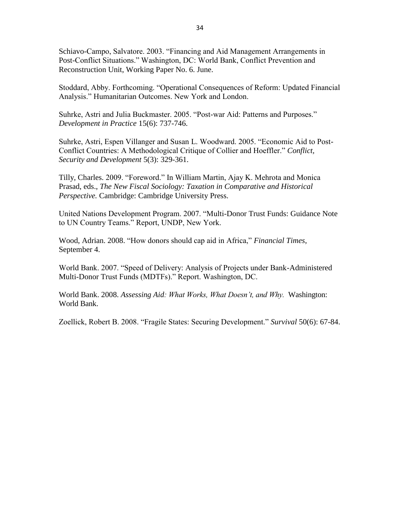Schiavo-Campo, Salvatore. 2003. "Financing and Aid Management Arrangements in Post-Conflict Situations." Washington, DC: World Bank, Conflict Prevention and Reconstruction Unit, Working Paper No. 6. June.

Stoddard, Abby. Forthcoming. "Operational Consequences of Reform: Updated Financial Analysis." Humanitarian Outcomes. New York and London.

Suhrke, Astri and Julia Buckmaster. 2005. "Post-war Aid: Patterns and Purposes." *Development in Practice* 15(6): 737-746.

Suhrke, Astri, Espen Villanger and Susan L. Woodward. 2005. "Economic Aid to Post-Conflict Countries: A Methodological Critique of Collier and Hoeffler." *Conflict, Security and Development* 5(3): 329-361.

Tilly, Charles. 2009. "Foreword." In William Martin, Ajay K. Mehrota and Monica Prasad, eds., *The New Fiscal Sociology: Taxation in Comparative and Historical Perspective.* Cambridge: Cambridge University Press.

United Nations Development Program. 2007. "Multi-Donor Trust Funds: Guidance Note to UN Country Teams." Report, UNDP, New York.

Wood, Adrian. 2008. "How donors should cap aid in Africa," *Financial Times*, September 4.

World Bank. 2007. "Speed of Delivery: Analysis of Projects under Bank-Administered Multi-Donor Trust Funds (MDTFs)." Report. Washington, DC.

World Bank. 2008. *Assessing Aid: What Works, What Doesn't, and Why.* Washington: World Bank.

Zoellick, Robert B. 2008. "Fragile States: Securing Development." *Survival* 50(6): 67-84.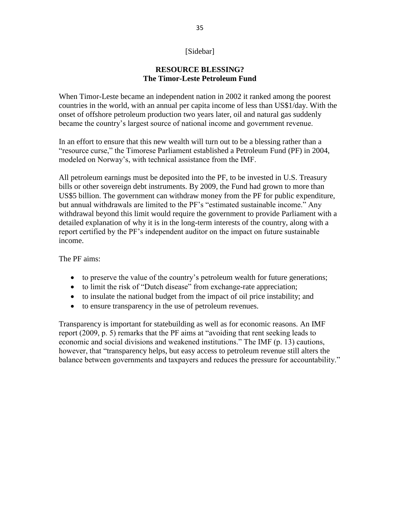# [Sidebar]

# **RESOURCE BLESSING? The Timor-Leste Petroleum Fund**

When Timor-Leste became an independent nation in 2002 it ranked among the poorest countries in the world, with an annual per capita income of less than US\$1/day. With the onset of offshore petroleum production two years later, oil and natural gas suddenly became the country"s largest source of national income and government revenue.

In an effort to ensure that this new wealth will turn out to be a blessing rather than a "resource curse," the Timorese Parliament established a Petroleum Fund (PF) in 2004, modeled on Norway"s, with technical assistance from the IMF.

All petroleum earnings must be deposited into the PF, to be invested in U.S. Treasury bills or other sovereign debt instruments. By 2009, the Fund had grown to more than US\$5 billion. The government can withdraw money from the PF for public expenditure, but annual withdrawals are limited to the PF"s "estimated sustainable income." Any withdrawal beyond this limit would require the government to provide Parliament with a detailed explanation of why it is in the long-term interests of the country, along with a report certified by the PF"s independent auditor on the impact on future sustainable income.

The PF aims:

- to preserve the value of the country's petroleum wealth for future generations;
- to limit the risk of "Dutch disease" from exchange-rate appreciation;
- to insulate the national budget from the impact of oil price instability; and
- to ensure transparency in the use of petroleum revenues.

Transparency is important for statebuilding as well as for economic reasons. An IMF report (2009, p. 5) remarks that the PF aims at "avoiding that rent seeking leads to economic and social divisions and weakened institutions." The IMF (p. 13) cautions, however, that "transparency helps, but easy access to petroleum revenue still alters the balance between governments and taxpayers and reduces the pressure for accountability."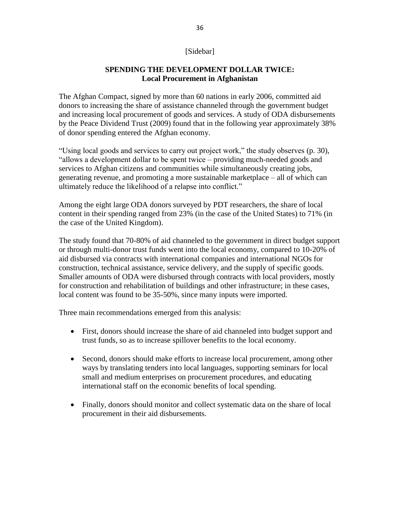# [Sidebar]

# **SPENDING THE DEVELOPMENT DOLLAR TWICE: Local Procurement in Afghanistan**

The Afghan Compact, signed by more than 60 nations in early 2006, committed aid donors to increasing the share of assistance channeled through the government budget and increasing local procurement of goods and services. A study of ODA disbursements by the Peace Dividend Trust (2009) found that in the following year approximately 38% of donor spending entered the Afghan economy.

"Using local goods and services to carry out project work," the study observes (p. 30), "allows a development dollar to be spent twice – providing much-needed goods and services to Afghan citizens and communities while simultaneously creating jobs, generating revenue, and promoting a more sustainable marketplace – all of which can ultimately reduce the likelihood of a relapse into conflict."

Among the eight large ODA donors surveyed by PDT researchers, the share of local content in their spending ranged from 23% (in the case of the United States) to 71% (in the case of the United Kingdom).

The study found that 70-80% of aid channeled to the government in direct budget support or through multi-donor trust funds went into the local economy, compared to 10-20% of aid disbursed via contracts with international companies and international NGOs for construction, technical assistance, service delivery, and the supply of specific goods. Smaller amounts of ODA were disbursed through contracts with local providers, mostly for construction and rehabilitation of buildings and other infrastructure; in these cases, local content was found to be 35-50%, since many inputs were imported.

Three main recommendations emerged from this analysis:

- First, donors should increase the share of aid channeled into budget support and trust funds, so as to increase spillover benefits to the local economy.
- Second, donors should make efforts to increase local procurement, among other ways by translating tenders into local languages, supporting seminars for local small and medium enterprises on procurement procedures, and educating international staff on the economic benefits of local spending.
- Finally, donors should monitor and collect systematic data on the share of local procurement in their aid disbursements.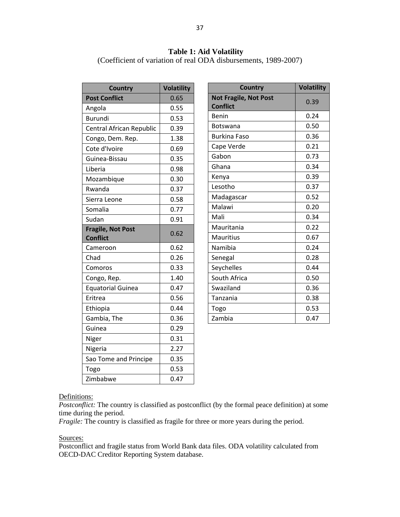# **Table 1: Aid Volatility**

(Coefficient of variation of real ODA disbursements, 1989-2007)

| <b>Country</b>                              | <b>Volatility</b> |  |  |
|---------------------------------------------|-------------------|--|--|
| <b>Post Conflict</b>                        | 0.65              |  |  |
| Angola                                      | 0.55              |  |  |
| Burundi                                     | 0.53              |  |  |
| Central African Republic                    | 0.39              |  |  |
| Congo, Dem. Rep.                            | 1.38              |  |  |
| Cote d'Ivoire                               | 0.69              |  |  |
| Guinea-Bissau                               | 0.35              |  |  |
| Liberia                                     | 0.98              |  |  |
| Mozambique                                  | 0.30              |  |  |
| Rwanda                                      | 0.37              |  |  |
| Sierra Leone                                | 0.58              |  |  |
| Somalia                                     | 0.77              |  |  |
| Sudan                                       | 0.91              |  |  |
| <b>Fragile, Not Post</b><br><b>Conflict</b> | 0.62              |  |  |
| Cameroon                                    | 0.62              |  |  |
| Chad                                        | 0.26              |  |  |
| Comoros                                     | 0.33              |  |  |
| Congo, Rep.                                 | 1.40              |  |  |
| <b>Equatorial Guinea</b>                    | 0.47              |  |  |
| Eritrea                                     | 0.56              |  |  |
| Ethiopia                                    | 0.44              |  |  |
| Gambia, The                                 | 0.36              |  |  |
| Guinea                                      | 0.29              |  |  |
| Niger                                       | 0.31              |  |  |
| Nigeria                                     | 2.27              |  |  |
| Sao Tome and Principe                       | 0.35              |  |  |
| Togo                                        | 0.53              |  |  |
| Zimbabwe                                    | 0.47              |  |  |

| <b>Country</b>                                  | <b>Volatility</b> |  |
|-------------------------------------------------|-------------------|--|
| <b>Not Fragile, Not Post</b><br><b>Conflict</b> | 0.39              |  |
| Benin                                           | 0.24              |  |
| <b>Botswana</b>                                 | 0.50              |  |
| <b>Burkina Faso</b>                             | 0.36              |  |
| Cape Verde                                      | 0.21              |  |
| Gabon                                           | 0.73              |  |
| Ghana                                           | 0.34              |  |
| Kenya                                           | 0.39              |  |
| Lesotho                                         | 0.37              |  |
| Madagascar                                      | 0.52              |  |
| Malawi                                          | 0.20              |  |
| Mali                                            | 0.34              |  |
| Mauritania                                      | 0.22              |  |
| Mauritius                                       | 0.67              |  |
| Namibia                                         | 0.24              |  |
| Senegal                                         | 0.28              |  |
| Seychelles                                      | 0.44              |  |
| South Africa                                    | 0.50              |  |
| Swaziland                                       | 0.36              |  |
| Tanzania                                        | 0.38              |  |
| Togo                                            | 0.53              |  |
| Zambia                                          | 0.47              |  |

#### Definitions:

*Postconflict:* The country is classified as postconflict (by the formal peace definition) at some time during the period.

*Fragile:* The country is classified as fragile for three or more years during the period.

#### Sources:

Postconflict and fragile status from World Bank data files. ODA volatility calculated from OECD-DAC Creditor Reporting System database.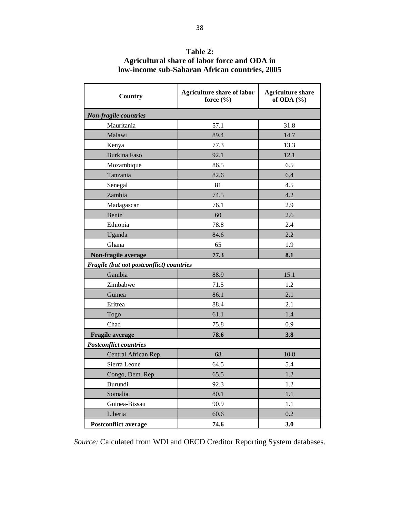| Country                                  | <b>Agriculture share of labor</b><br>force $(\% )$ | <b>Agriculture share</b><br>of ODA $(\%)$ |  |  |
|------------------------------------------|----------------------------------------------------|-------------------------------------------|--|--|
| Non-fragile countries                    |                                                    |                                           |  |  |
| Mauritania                               | 57.1                                               | 31.8                                      |  |  |
| Malawi                                   | 89.4                                               | 14.7                                      |  |  |
| Kenya                                    | 77.3                                               | 13.3                                      |  |  |
| <b>Burkina Faso</b>                      | 92.1                                               | 12.1                                      |  |  |
| Mozambique                               | 86.5                                               | 6.5                                       |  |  |
| Tanzania                                 | 82.6                                               | 6.4                                       |  |  |
| Senegal                                  | 81                                                 | 4.5                                       |  |  |
| Zambia                                   | 74.5                                               | 4.2                                       |  |  |
| Madagascar                               | 76.1                                               | 2.9                                       |  |  |
| Benin                                    | 60                                                 | 2.6                                       |  |  |
| Ethiopia                                 | 78.8                                               | 2.4                                       |  |  |
| Uganda                                   | 84.6                                               | 2.2                                       |  |  |
| Ghana                                    | 65                                                 | 1.9                                       |  |  |
| Non-fragile average                      | 77.3                                               | 8.1                                       |  |  |
| Fragile (but not postconflict) countries |                                                    |                                           |  |  |
| Gambia                                   | 88.9                                               | 15.1                                      |  |  |
| Zimbabwe                                 | 71.5                                               | 1.2                                       |  |  |
| Guinea                                   | 86.1                                               | 2.1                                       |  |  |
| Eritrea                                  | 88.4                                               | 2.1                                       |  |  |
| Togo                                     | 61.1                                               | 1.4                                       |  |  |
| Chad                                     | 75.8                                               | 0.9                                       |  |  |
| Fragile average                          | 78.6                                               | 3.8                                       |  |  |
| <b>Postconflict countries</b>            |                                                    |                                           |  |  |
| Central African Rep.                     | 68                                                 | 10.8                                      |  |  |
| Sierra Leone                             | 64.5                                               | 5.4                                       |  |  |
| Congo, Dem. Rep.                         | 65.5                                               | 1.2                                       |  |  |
| Burundi                                  | 92.3                                               | 1.2                                       |  |  |
| Somalia                                  | 80.1                                               | 1.1                                       |  |  |
| Guinea-Bissau                            | 90.9                                               | 1.1                                       |  |  |
| Liberia                                  | 60.6                                               | 0.2                                       |  |  |
| <b>Postconflict average</b>              | 74.6                                               | 3.0                                       |  |  |

**Table 2: Agricultural share of labor force and ODA in low-income sub-Saharan African countries, 2005**

*Source:* Calculated from WDI and OECD Creditor Reporting System databases.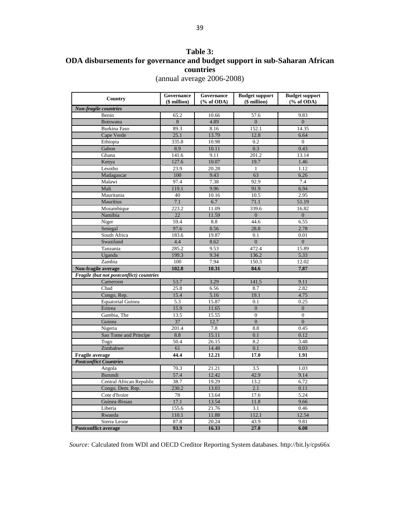# **Table 3: ODA disbursements for governance and budget support in sub-Saharan African countries**  (annual average 2006-2008)

| Country                                  | Governance<br>(\$ million) | Governance<br>$(\%$ of ODA) | <b>Budget support</b><br>(\$ million) | <b>Budget support</b><br>$(\%$ of ODA) |
|------------------------------------------|----------------------------|-----------------------------|---------------------------------------|----------------------------------------|
| Non-fragile countries                    |                            |                             |                                       |                                        |
| Benin                                    | 65.2                       | 10.66                       | 57.6                                  | 9.83                                   |
| <b>Botswana</b>                          | $\,8\,$                    | 4.89                        | $\boldsymbol{0}$                      | $\overline{0}$                         |
| <b>Burkina Faso</b>                      | 89.3                       | 8.16                        | 152.1                                 | 14.35                                  |
| Cape Verde                               | 25.1                       | 13.79                       | 12.8                                  | 6.64                                   |
| Ethiopia                                 | 335.8                      | 10.98                       | 0.2                                   | $\mathbf{0}$                           |
| Gabon                                    | 8.9                        | 10.11                       | 0.3                                   | 0.43                                   |
| Ghana                                    | 141.6                      | 9.11                        | 201.2                                 | 13.14                                  |
| Kenya                                    | 127.6                      | 10.07                       | 19.7                                  | 1.46                                   |
| Lesotho                                  | 23.9                       | 20.28                       | 1                                     | 1.12                                   |
| Madagascar                               | 100                        | 9.43                        | 63                                    | 6.26                                   |
| Malawi                                   | 97.4                       | 7.38                        | 92.9                                  | 7.4                                    |
| Mali                                     | 119.1                      | 9.96                        | 91.9                                  | 6.94                                   |
| Mauritania                               | 40                         | 10.16                       | 10.5                                  | 2.95                                   |
| Mauritius                                | 7.1                        | 6.7                         | 71.1                                  | 51.19                                  |
| Mozambique                               | 223.2                      | 11.09                       | 339.6                                 | 16.82                                  |
| Namibia                                  | $22\,$                     | 11.59                       | $\overline{0}$                        | $\boldsymbol{0}$                       |
| Niger                                    | 59.4                       | 8.8                         | 44.6                                  | 6.55                                   |
| Senegal                                  | 97.6                       | 8.56                        | 28.8                                  | 2.78                                   |
| South Africa                             | 183.6                      | 19.87                       | 0.1                                   | 0.01                                   |
| Swaziland                                | 4.4                        | 8.62                        | $\mathbf{0}$                          | $\boldsymbol{0}$                       |
| Tanzania                                 | 285.2                      | 9.53                        | 472.4                                 | 15.89                                  |
| Uganda                                   | 199.3                      | 9.34                        | 136.2                                 | 5.33                                   |
| Zambia                                   | 100                        | 7.94                        | 150.3                                 | 12.02                                  |
| Non-fragile average                      | 102.8                      | 10.31                       | 84.6                                  | 7.87                                   |
| Fragile (but not postconflict) countries |                            |                             |                                       |                                        |
| Cameroon                                 | 53.7                       | 3.29                        | 141.5                                 | 9.11                                   |
| Chad                                     | 25.8                       | 6.56                        | 8.7                                   | 2.82                                   |
| Congo, Rep.                              | 15.4                       | 5.16                        | 19.1                                  | 4.75                                   |
| <b>Equatorial Guinea</b>                 | 5.3                        | 15.87                       | 0.1                                   | 0.25                                   |
| Eritrea                                  | 15.9                       | 11.65                       | $\boldsymbol{0}$                      | $\boldsymbol{0}$                       |
| Gambia, The                              | 13.5                       | 15.55                       | $\overline{0}$                        | $\overline{0}$                         |
| Guinea                                   | 37                         | 12.7                        | $\overline{0}$                        | $\overline{0}$                         |
| Nigeria                                  | 201.4                      | 7.8                         | 8.8                                   | 0.45                                   |
| Sao Tome and Principe                    | 8.8                        | 15.11                       | 0.1                                   | 0.12                                   |
| Togo                                     | 50.4                       | 26.15                       | 8.2                                   | 3.48                                   |
| Zimbabwe                                 | 61                         | 14.48                       | 0.1                                   | 0.03                                   |
| <b>Fragile</b> average                   | 44.4                       | 12.21                       | 17.0                                  | 1.91                                   |
| <b>Postconflict Countries</b>            |                            |                             |                                       |                                        |
| Angola                                   | 70.3                       | 21.21                       | 3.5                                   | 1.03                                   |
| Burundi                                  | 57.4                       | 12.42                       | 42.9                                  | 9.14                                   |
| Central African Republic                 | 38.7                       | 19.29                       | 13.2                                  | 6.72                                   |
| Congo, Dem. Rep.                         | 230.2                      | 13.03                       | 2.1                                   | 0.11                                   |
| Cote d'Ivoire                            | 78                         | 13.64                       | 17.6                                  | 5.24                                   |
| Guinea-Bissau                            | 17.1                       | 13.54                       | 11.8                                  | 9.66                                   |
| Liberia                                  | 155.6                      | 21.76                       | 3.1                                   | 0.46                                   |
| Rwanda                                   | 110.1                      | 11.88                       | 112.1                                 | 12.54                                  |
| Sierra Leone                             | 87.8                       | 20.24                       | 43.9                                  | 9.81                                   |
| <b>Postconflict average</b>              | 93.9                       | 16.33                       | 27.8                                  | 6.08                                   |

*Source:* Calculated from WDI and OECD Creditor Reporting System databases. http://bit.ly/cps66x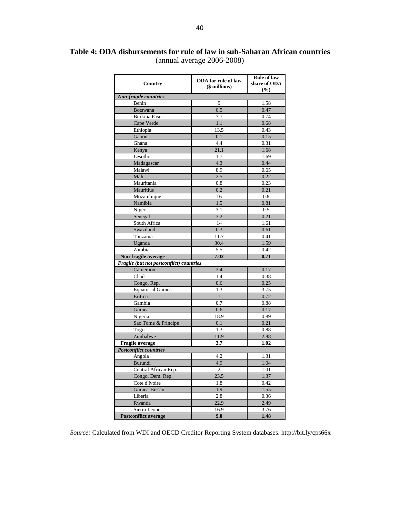# **Table 4: ODA disbursements for rule of law in sub-Saharan African countries**  (annual average 2006-2008)

| Country                                  | <b>ODA</b> for rule of law<br>(\$ millions) | <b>Rule of law</b><br>share of ODA<br>(%) |  |  |
|------------------------------------------|---------------------------------------------|-------------------------------------------|--|--|
| Non-fragile countries                    |                                             |                                           |  |  |
| Benin                                    | 9                                           | 1.58                                      |  |  |
| <b>Botswana</b>                          | 0.5                                         | 0.47                                      |  |  |
| <b>Burkina Faso</b>                      | 7.7                                         | 0.74                                      |  |  |
| Cape Verde                               | 1.1                                         | 0.68                                      |  |  |
| Ethiopia                                 | 13.5                                        | 0.43                                      |  |  |
| Gabon                                    | 0.1                                         | 0.15                                      |  |  |
| Ghana                                    | 4.4                                         | 0.31                                      |  |  |
| Kenya                                    | 21.1                                        | 1.68                                      |  |  |
| Lesotho                                  | 1.7                                         | 1.69                                      |  |  |
| Madagascar                               | 4.3                                         | 0.44                                      |  |  |
| Malawi                                   | 8.9                                         | 0.65                                      |  |  |
| Mali                                     | 2.5                                         | 0.22                                      |  |  |
| Mauritania                               | $_{0.8}$                                    | 0.23                                      |  |  |
| Mauritius                                | 0.2                                         | 0.21                                      |  |  |
| Mozambique                               | 16                                          | 0.8                                       |  |  |
| Namibia                                  | 1.5                                         | 0.81                                      |  |  |
| Niger                                    | 3.1                                         | 0.5                                       |  |  |
| Senegal                                  | 3.2                                         | 0.21                                      |  |  |
| South Africa                             | 14                                          | 1.61                                      |  |  |
| Swaziland                                | 0.3                                         | 0.61                                      |  |  |
| Tanzania                                 | 11.7                                        | 0.41                                      |  |  |
| Uganda                                   | 30.4                                        | 1.59                                      |  |  |
| Zambia                                   | 5.5                                         | 0.42                                      |  |  |
| Non-fragile average                      | 7.02                                        | 0.71                                      |  |  |
| Fragile (but not postconflict) countries |                                             |                                           |  |  |
| Cameroon                                 | 3.4                                         | 0.17                                      |  |  |
| Chad                                     | 1.4                                         | 0.38                                      |  |  |
| Congo, Rep.                              | 0.6                                         | 0.25                                      |  |  |
| <b>Equatorial Guinea</b>                 | 1.3                                         | 3.75                                      |  |  |
| Eritrea                                  | $\mathbf{1}$                                | 0.72                                      |  |  |
| Gambia                                   | 0.7                                         | 0.88                                      |  |  |
| Guinea                                   | 0.6                                         | 0.17                                      |  |  |
| Nigeria                                  | 18.9                                        | 0.89                                      |  |  |
| Sao Tome & Principe                      | 0.1                                         | 0.21                                      |  |  |
| Togo                                     | 1.3                                         | 0.88                                      |  |  |
| Zimbabwe                                 | 11.9                                        | 2.88                                      |  |  |
| Fragile average                          | 3.7                                         | 1.02                                      |  |  |
| <b>Postconflict countries</b>            |                                             |                                           |  |  |
| Angola                                   | 4.2                                         | 1.31                                      |  |  |
| Burundi                                  | 4.9                                         | 1.04                                      |  |  |
| Central African Rep.                     | $\mathfrak{2}$                              | 1.01                                      |  |  |
| Congo, Dem. Rep.                         | 23.5                                        | 1.37                                      |  |  |
| Cote d'Ivoire                            | 1.8                                         | 0.42                                      |  |  |
| Guinea-Bissau                            | 1.9                                         | 1.55                                      |  |  |
| Liberia                                  | 2.8                                         | 0.36                                      |  |  |
| Rwanda                                   | 22.9                                        | 2.49                                      |  |  |
| Sierra Leone                             | 16.9                                        | 3.76                                      |  |  |
| <b>Postconflict average</b>              | 9.0                                         | 1.48                                      |  |  |

*Source:* Calculated from WDI and OECD Creditor Reporting System databases. http://bit.ly/cps66x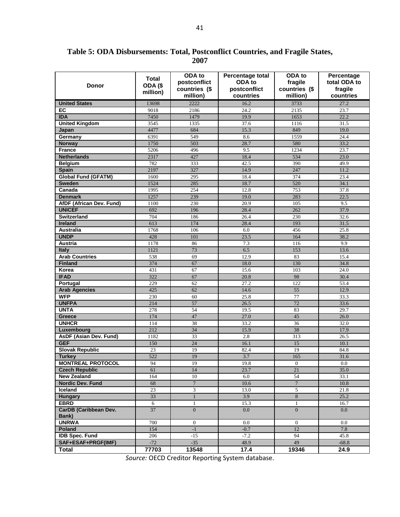**Table 5: ODA Disbursements: Total, Postconflict Countries, and Fragile States, 2007**

| <b>Donor</b>                 | Total<br>ODA <sub>(\$</sub><br>million) | ODA to<br>postconflict<br>countries (\$<br>million) | Percentage total<br>ODA to<br>postconflict<br>countries | ODA to<br>fragile<br>countries (\$<br>million) | Percentage<br>total ODA to<br>fragile<br>countries |
|------------------------------|-----------------------------------------|-----------------------------------------------------|---------------------------------------------------------|------------------------------------------------|----------------------------------------------------|
| <b>United States</b>         | 13698                                   | 2222                                                | 16.2                                                    | 3733                                           | 27.2                                               |
| EC                           | 9018                                    | 2186                                                | 24.2                                                    | 2135                                           | 23.7                                               |
| <b>IDA</b>                   | 7450                                    | 1479                                                | 19.9                                                    | 1653                                           | 22.2                                               |
| <b>United Kingdom</b>        | 3545                                    | 1335                                                | 37.6                                                    | 1116                                           | 31.5                                               |
| Japan                        | 4477                                    | 684                                                 | 15.3                                                    | 849                                            | 19.0                                               |
| Germany                      | 6391                                    | 549                                                 | 8.6                                                     | 1559                                           | 24.4                                               |
| <b>Norway</b>                | 1750                                    | 503                                                 | 28.7                                                    | 580                                            | 33.2                                               |
| <b>France</b>                | 5206                                    | 496                                                 | 9.5                                                     | 1234                                           | 23.7                                               |
| <b>Netherlands</b>           | 2317                                    | 427                                                 | 18.4                                                    | 534                                            | 23.0                                               |
| <b>Belgium</b>               | 782                                     | 333                                                 | 42.5                                                    | 390                                            | 49.9                                               |
| <b>Spain</b>                 | 2197                                    | 327                                                 | 14.9                                                    | 247                                            | 11.2                                               |
| <b>Global Fund (GFATM)</b>   | 1600                                    | 295                                                 | 18.4                                                    | 374                                            | 23.4                                               |
| <b>Sweden</b>                | 1524                                    | 285                                                 | 18.7                                                    | 520                                            | 34.1                                               |
| Canada                       | 1995                                    | 254                                                 | 12.8                                                    | 753                                            | 37.8                                               |
| <b>Denmark</b>               | 1257                                    | 239                                                 | 19.0                                                    | 283                                            | 22.5                                               |
| AfDF (African Dev. Fund)     | 1100                                    | 230                                                 | 20.9                                                    | 105                                            | 9.5                                                |
| <b>UNICEF</b>                | 692                                     | 196                                                 | 28.4                                                    | 262                                            | 37.9                                               |
| <b>Switzerland</b>           | 704                                     | 186                                                 | 26.4                                                    | 230                                            | 32.6                                               |
| <b>Ireland</b>               | 613                                     | 174                                                 | 28.4                                                    | 193                                            | 31.5                                               |
| Australia                    | 1768                                    | 106                                                 | 6.0                                                     | 456                                            | 25.8                                               |
| <b>UNDP</b>                  | 428                                     | 101                                                 | 23.5                                                    | 164                                            | 38.2                                               |
| <b>Austria</b>               | 1178                                    | 86                                                  | 7.3                                                     | 116                                            | 9.9                                                |
| <b>Italy</b>                 | 1121                                    | 73                                                  | 6.5                                                     | 153                                            | 13.6                                               |
| <b>Arab Countries</b>        | 538                                     | 69                                                  | 12.9                                                    | 83                                             | 15.4                                               |
| <b>Finland</b>               | 374                                     | 67                                                  | 18.0                                                    | 130                                            | 34.8                                               |
| Korea                        | 431                                     | 67                                                  | 15.6                                                    | 103                                            | 24.0                                               |
| <b>IFAD</b>                  | 322                                     | 67                                                  | 20.8                                                    | 98                                             | 30.4                                               |
| Portugal                     | 229                                     | 62                                                  | 27.2                                                    | 122                                            | 53.4                                               |
| <b>Arab Agencies</b>         | 425                                     | 62                                                  | 14.6                                                    | 55                                             | 12.9                                               |
| <b>WFP</b><br><b>UNFPA</b>   | 230                                     | 60                                                  | 25.8                                                    | 77                                             | 33.3                                               |
| <b>UNTA</b>                  | 214<br>278                              | 57<br>54                                            | 26.5<br>19.5                                            | 72<br>83                                       | 33.6<br>29.7                                       |
| <b>Greece</b>                | 174                                     | 47                                                  | 27.0                                                    | 45                                             | 26.0                                               |
| <b>UNHCR</b>                 | 114                                     | 38                                                  | 33.2                                                    | 36                                             | 32.0                                               |
| Luxembourg                   | 212                                     | 34                                                  | 15.9                                                    | 38                                             | 17.9                                               |
| AsDF (Asian Dev. Fund)       | 1182                                    | 33                                                  | 2.8                                                     | 313                                            | 26.5                                               |
| <b>GEF</b>                   | 150                                     | 24                                                  | 16.1                                                    | 15                                             | 10.1                                               |
| <b>Slovak Republic</b>       | 23                                      | 19                                                  | 82.4                                                    | 19                                             | 84.8                                               |
| <b>Turkey</b>                | 522                                     | 19                                                  | 3.7                                                     | 165                                            | 31.6                                               |
| <b>MONTREAL PROTOCOL</b>     | 94                                      | 19                                                  | 19.8                                                    | $\boldsymbol{0}$                               | 0.0                                                |
| <b>Czech Republic</b>        | 61                                      | 14                                                  | 23.7                                                    | 21                                             | 35.0                                               |
| <b>New Zealand</b>           | 164                                     | 10                                                  | 6.0                                                     | 54                                             | 33.1                                               |
| Nordic Dev. Fund             | 68                                      | $\overline{7}$                                      | 10.6                                                    | $\overline{7}$                                 | 10.8                                               |
| Iceland                      | 23                                      | 3                                                   | 13.0                                                    | 5                                              | 21.8                                               |
| <b>Hungary</b>               | 33                                      | $\mathbf{1}$                                        | 3.9                                                     | $\bf 8$                                        | 25.2                                               |
| <b>EBRD</b>                  | 6                                       | $\mathbf{1}$                                        | 15.3                                                    | $\mathbf{1}$                                   | 16.7                                               |
| <b>CarDB</b> (Caribbean Dev. | 37                                      | $\overline{0}$                                      | 0.0                                                     | $\overline{0}$                                 | $0.0\,$                                            |
| Bank)                        |                                         |                                                     |                                                         |                                                |                                                    |
| <b>UNRWA</b>                 | 700                                     | $\boldsymbol{0}$                                    | 0.0                                                     | $\mathbf{0}$                                   | 0.0                                                |
| Poland                       | 154                                     | $-1$                                                | $-0.7$                                                  | 12                                             | 7.8                                                |
| <b>IDB Spec. Fund</b>        | 206                                     | -15                                                 | $-7.2$                                                  | 94                                             | 45.8                                               |
| SAF+ESAF+PRGF(IMF)           | $-72$                                   | $-35$                                               | 48.9                                                    | 49                                             | $-68.8$                                            |
| Total                        | 77703                                   | 13548                                               | 17.4                                                    | 19346                                          | 24.9                                               |

*Source:* OECD Creditor Reporting System database.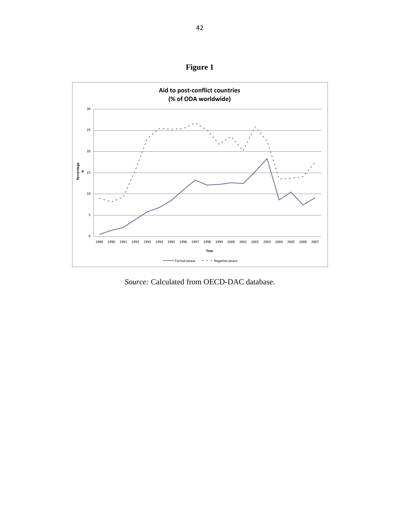



*Source:* Calculated from OECD-DAC database.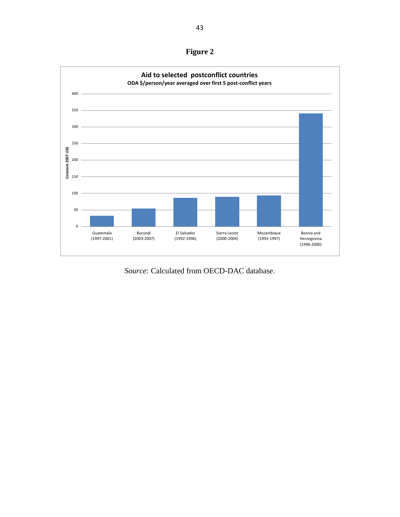**Figure 2**



*Source:* Calculated from OECD-DAC database.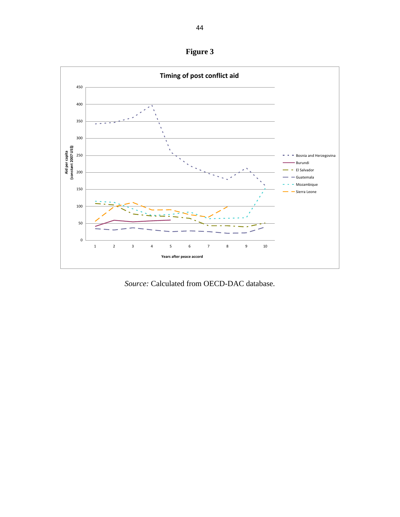**Figure 3**



*Source:* Calculated from OECD-DAC database.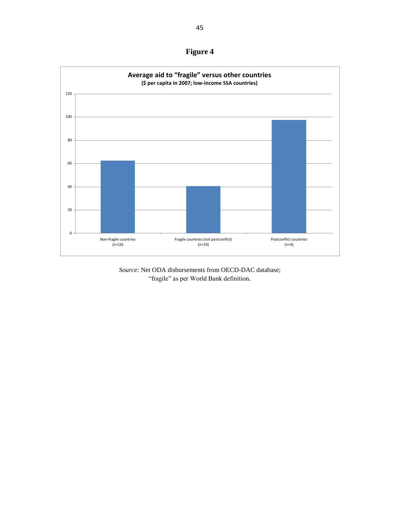**Figure 4**

![](_page_45_Figure_1.jpeg)

*Source:* Net ODA disbursements from OECD-DAC database; "fragile" as per World Bank definition.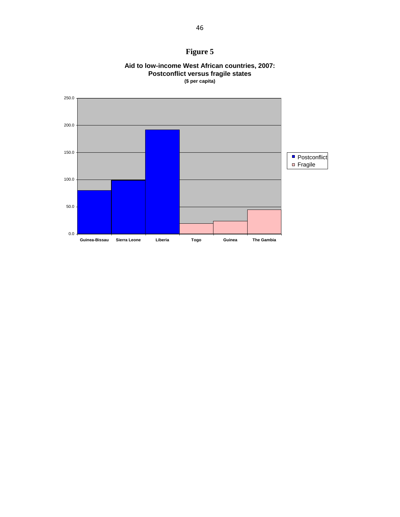# **Figure 5**

![](_page_46_Figure_1.jpeg)

![](_page_46_Figure_2.jpeg)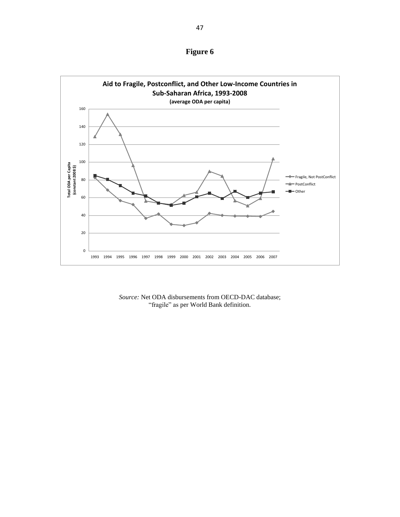**Figure 6**

![](_page_47_Figure_1.jpeg)

*Source:* Net ODA disbursements from OECD-DAC database; "fragile" as per World Bank definition.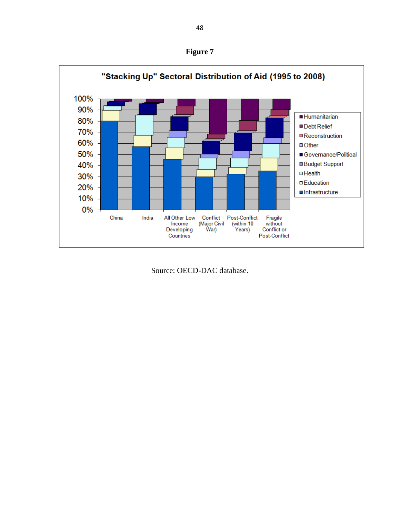**Figure 7**

![](_page_48_Figure_1.jpeg)

Source: OECD-DAC database.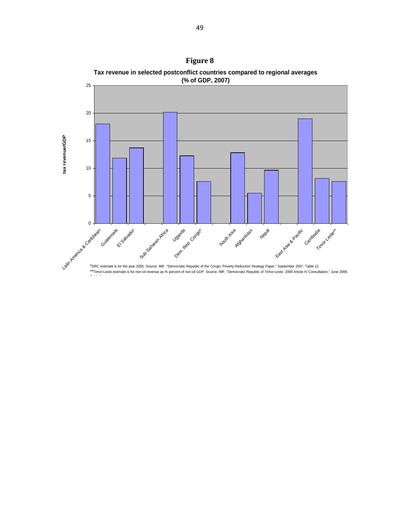![](_page_49_Figure_0.jpeg)

Table 3.

**Figure 8 Tax revenue in selected postconflict countries compared to regional averages**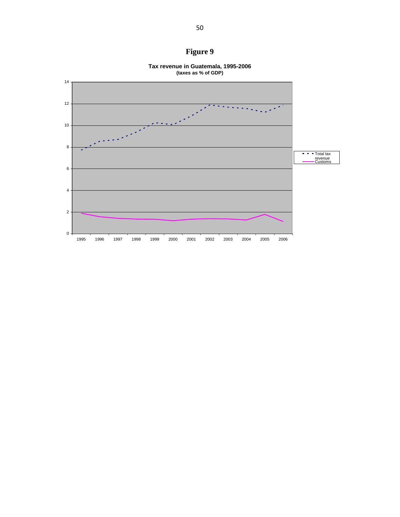![](_page_50_Figure_0.jpeg)

![](_page_50_Figure_1.jpeg)

**Tax revenue in Guatemala, 1995-2006**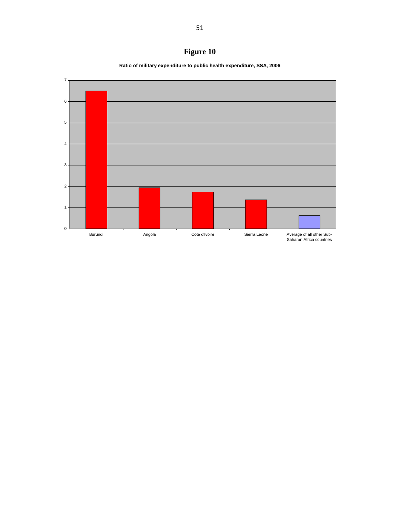# **Figure 10**

**Ratio of military expenditure to public health expenditure, SSA, 2006**

![](_page_51_Figure_2.jpeg)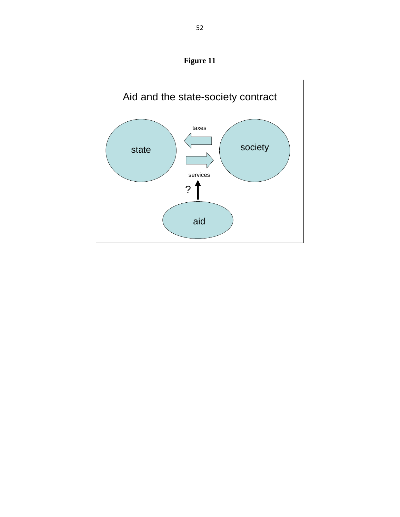**Figure 11**

![](_page_52_Figure_1.jpeg)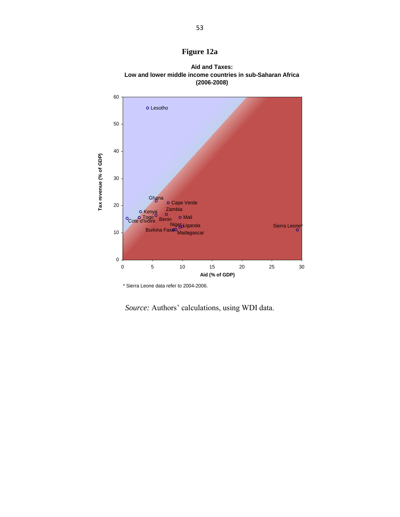![](_page_53_Figure_0.jpeg)

![](_page_53_Figure_1.jpeg)

**Aid and Taxes: Low and lower middle income countries in sub-Saharan Africa (2006-2008)**

Source: Authors' calculations, using WDI data.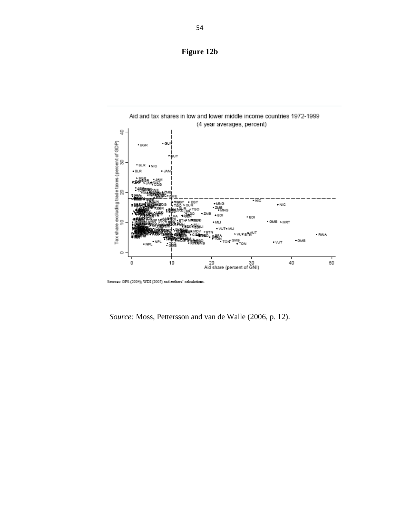# **Figure 12b**

![](_page_54_Figure_1.jpeg)

Sources: GFS (2004); WDI (2005) and authors' calculations.

*Source:* Moss, Pettersson and van de Walle (2006, p. 12).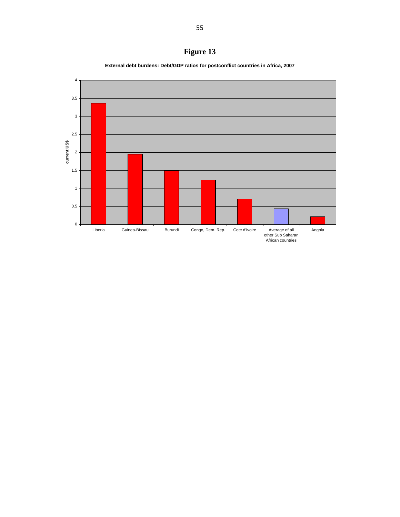![](_page_55_Figure_0.jpeg)

**External debt burdens: Debt/GDP ratios for postconflict countries in Africa, 2007**

![](_page_55_Figure_2.jpeg)